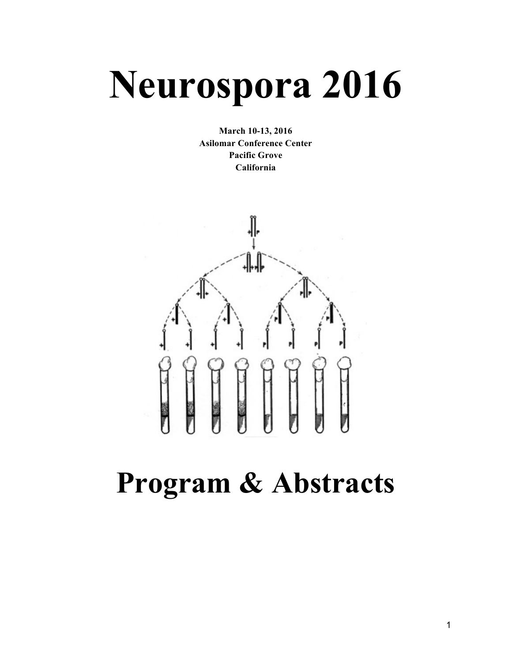# **Neurospora 2016**

**March 10-13, 2016 Asilomar Conference Center Pacific Grove California**



## **Program & Abstracts**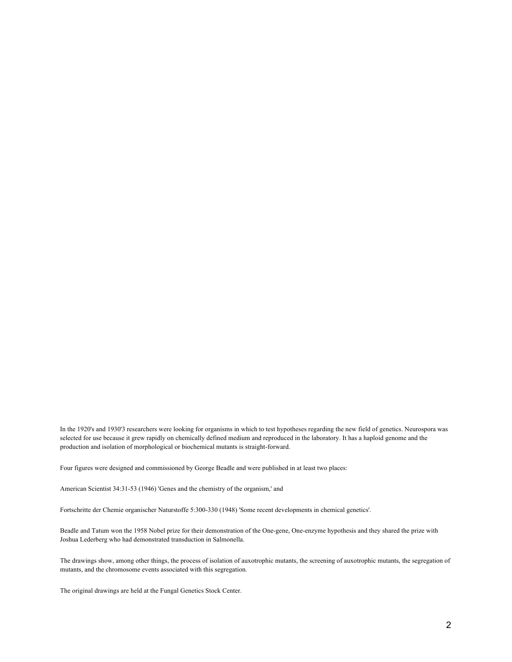In the 1920's and 1930'3 researchers were looking for organisms in which to test hypotheses regarding the new field of genetics. Neurospora was selected for use because it grew rapidly on chemically defined medium and reproduced in the laboratory. It has a haploid genome and the production and isolation of morphological or biochemical mutants is straight-forward.

Four figures were designed and commissioned by George Beadle and were published in at least two places:

American Scientist 34:31-53 (1946) 'Genes and the chemistry of the organism,' and

Fortschritte der Chemie organischer Naturstoffe 5:300-330 (1948) 'Some recent developments in chemical genetics'.

Beadle and Tatum won the 1958 Nobel prize for their demonstration of the One-gene, One-enzyme hypothesis and they shared the prize with Joshua Lederberg who had demonstrated transduction in Salmonella.

The drawings show, among other things, the process of isolation of auxotrophic mutants, the screening of auxotrophic mutants, the segregation of mutants, and the chromosome events associated with this segregation.

The original drawings are held at the Fungal Genetics Stock Center.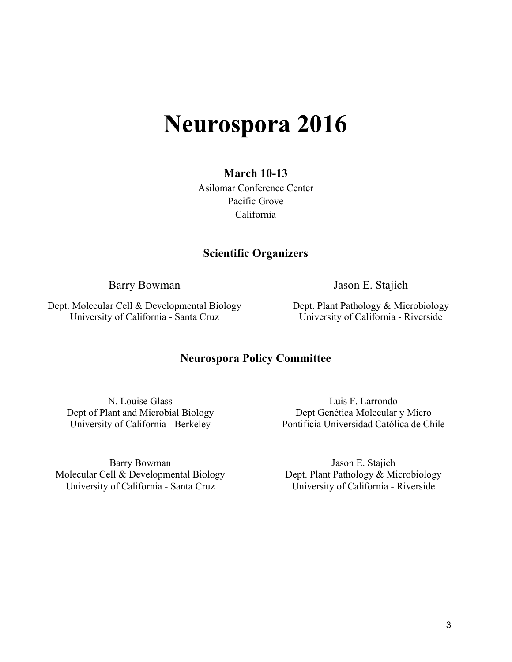### **Neurospora 2016**

#### **March 10-13**

Asilomar Conference Center Pacific Grove California

#### **Scientific Organizers**

Barry Bowman Jason E. Stajich

Dept. Molecular Cell & Developmental Biology University of California - Santa Cruz

Dept. Plant Pathology & Microbiology University of California - Riverside

#### **Neurospora Policy Committee**

N. Louise Glass Dept of Plant and Microbial Biology University of California - Berkeley

Barry Bowman Molecular Cell & Developmental Biology University of California - Santa Cruz

Luis F. Larrondo Dept Genética Molecular y Micro Pontificia Universidad Católica de Chile

Jason E. Stajich Dept. Plant Pathology & Microbiology University of California - Riverside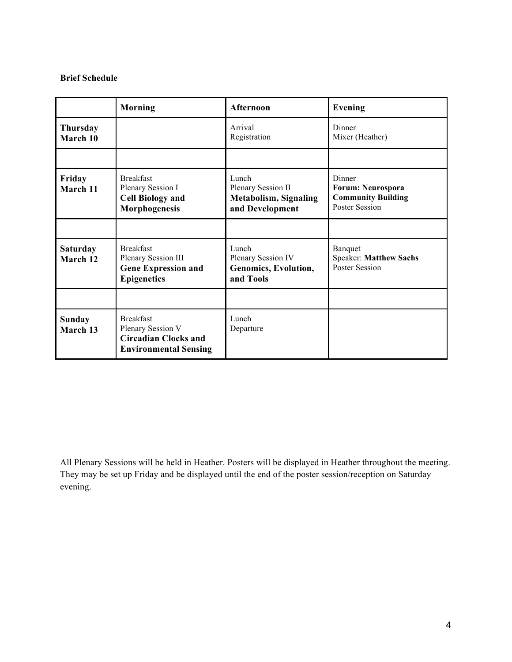#### **Brief Schedule**

|                             | <b>Morning</b>                                                                                       | Afternoon                                                                      | Evening                                                                                  |
|-----------------------------|------------------------------------------------------------------------------------------------------|--------------------------------------------------------------------------------|------------------------------------------------------------------------------------------|
| <b>Thursday</b><br>March 10 |                                                                                                      | Arrival<br>Registration                                                        | Dinner<br>Mixer (Heather)                                                                |
|                             |                                                                                                      |                                                                                |                                                                                          |
| Friday<br>March 11          | <b>Breakfast</b><br>Plenary Session I<br><b>Cell Biology and</b><br>Morphogenesis                    | Lunch<br>Plenary Session II<br><b>Metabolism, Signaling</b><br>and Development | Dinner<br><b>Forum: Neurospora</b><br><b>Community Building</b><br><b>Poster Session</b> |
|                             |                                                                                                      |                                                                                |                                                                                          |
| <b>Saturday</b><br>March 12 | <b>Breakfast</b><br>Plenary Session III<br><b>Gene Expression and</b><br><b>Epigenetics</b>          | Lunch<br>Plenary Session IV<br>Genomics, Evolution,<br>and Tools               | Banquet<br><b>Speaker: Matthew Sachs</b><br><b>Poster Session</b>                        |
|                             |                                                                                                      |                                                                                |                                                                                          |
| Sunday<br>March 13          | <b>Breakfast</b><br>Plenary Session V<br><b>Circadian Clocks and</b><br><b>Environmental Sensing</b> | Lunch<br>Departure                                                             |                                                                                          |

All Plenary Sessions will be held in Heather. Posters will be displayed in Heather throughout the meeting. They may be set up Friday and be displayed until the end of the poster session/reception on Saturday evening.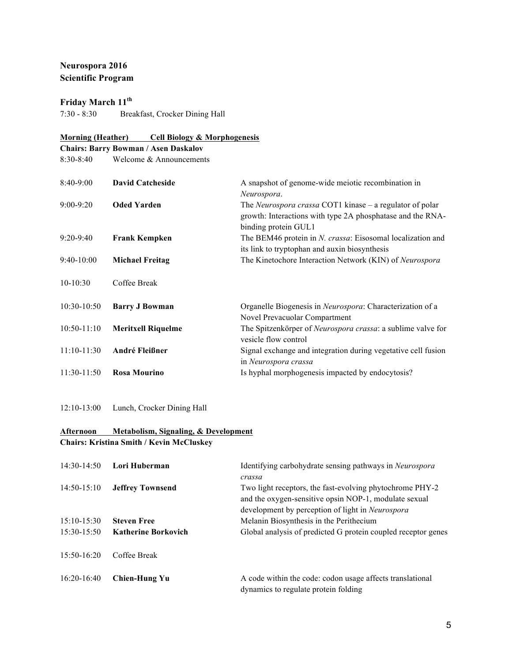#### **Neurospora 2016 Scientific Program**

#### **Friday March 11th**

7:30 - 8:30 Breakfast, Crocker Dining Hall

#### **Morning (Heather) Cell Biology & Morphogenesis**

|                 | <b>Chairs: Barry Bowman / Asen Daskalov</b> |                                                                                                                                                |
|-----------------|---------------------------------------------|------------------------------------------------------------------------------------------------------------------------------------------------|
| $8:30-8:40$     | Welcome & Announcements                     |                                                                                                                                                |
| $8:40-9:00$     | <b>David Catcheside</b>                     | A snapshot of genome-wide meiotic recombination in<br>Neurospora.                                                                              |
| $9:00-9:20$     | <b>Oded Yarden</b>                          | The Neurospora crassa COT1 kinase – a regulator of polar<br>growth: Interactions with type 2A phosphatase and the RNA-<br>binding protein GUL1 |
| $9:20-9:40$     | <b>Frank Kempken</b>                        | The BEM46 protein in N. crassa: Eisosomal localization and<br>its link to tryptophan and auxin biosynthesis                                    |
| $9:40-10:00$    | <b>Michael Freitag</b>                      | The Kinetochore Interaction Network (KIN) of Neurospora                                                                                        |
| $10-10:30$      | Coffee Break                                |                                                                                                                                                |
| $10:30-10:50$   | <b>Barry J Bowman</b>                       | Organelle Biogenesis in Neurospora: Characterization of a<br>Novel Prevacuolar Compartment                                                     |
| $10:50 - 11:10$ | <b>Meritxell Riquelme</b>                   | The Spitzenkörper of Neurospora crassa: a sublime valve for<br>vesicle flow control                                                            |
| $11:10-11:30$   | <b>André Fleißner</b>                       | Signal exchange and integration during vegetative cell fusion<br>in Neurospora crassa                                                          |
| $11:30-11:50$   | <b>Rosa Mourino</b>                         | Is hyphal morphogenesis impacted by endocytosis?                                                                                               |

#### 12:10-13:00 Lunch, Crocker Dining Hall

#### **Afternoon Metabolism, Signaling, & Development Chairs: Kristina Smith / Kevin McCluskey**

| $14:30-14:50$ | Lori Huberman              | Identifying carbohydrate sensing pathways in Neurospora<br>crassa                                                                                                     |
|---------------|----------------------------|-----------------------------------------------------------------------------------------------------------------------------------------------------------------------|
| $14:50-15:10$ | <b>Jeffrey Townsend</b>    | Two light receptors, the fast-evolving phytochrome PHY-2<br>and the oxygen-sensitive opsin NOP-1, modulate sexual<br>development by perception of light in Neurospora |
| $15:10-15:30$ | <b>Steven Free</b>         | Melanin Biosynthesis in the Perithecium                                                                                                                               |
| $15:30-15:50$ | <b>Katherine Borkovich</b> | Global analysis of predicted G protein coupled receptor genes                                                                                                         |
| $15:50-16:20$ | Coffee Break               |                                                                                                                                                                       |
| $16:20-16:40$ | Chien-Hung Yu              | A code within the code: codon usage affects translational<br>dynamics to regulate protein folding                                                                     |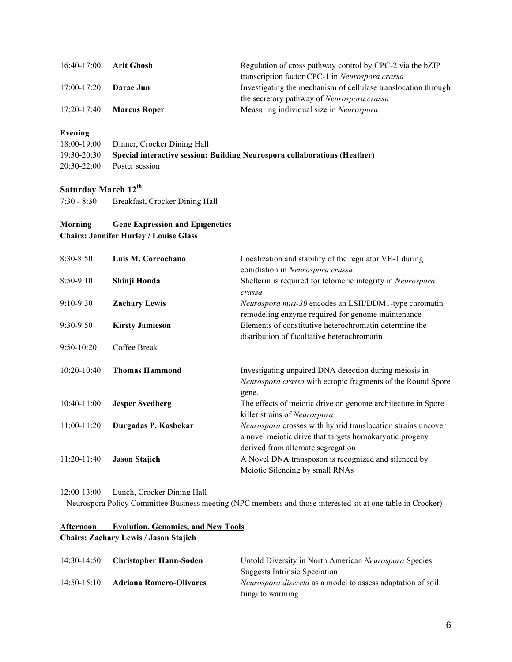| $16:40-17:00$   | Arit Ghosh          | Regulation of cross pathway control by CPC-2 via the bZIP      |
|-----------------|---------------------|----------------------------------------------------------------|
|                 |                     | transcription factor CPC-1 in Neurospora crassa                |
| $17:00 - 17:20$ | Darae Jun           | Investigating the mechanism of cellulase translocation through |
|                 |                     | the secretory pathway of <i>Neurospora crassa</i>              |
| $17:20 - 17:40$ | <b>Marcus Roper</b> | Measuring individual size in Neurospora                        |

#### **Evening**

| 18:00-19:00 Dinner, Crocker Dining Hall                                               |
|---------------------------------------------------------------------------------------|
| 19:30-20:30 Special interactive session: Building Neurospora collaborations (Heather) |
| $20:30-22:00$ Poster session                                                          |

#### **Saturday March 12th**

7:30 - 8:30 Breakfast, Crocker Dining Hall

#### **Morning Gene Expression and Epigenetics Chairs: Jennifer Hurley / Louise Glass**

| $8:30 - 8:50$   | Luis M. Corrochano     | Localization and stability of the regulator VE-1 during<br>conidiation in Neurospora crassa                                                                   |
|-----------------|------------------------|---------------------------------------------------------------------------------------------------------------------------------------------------------------|
| $8:50-9:10$     | Shinji Honda           | Shelterin is required for telomeric integrity in Neurospora<br>crassa                                                                                         |
| $9:10-9:30$     | <b>Zachary Lewis</b>   | Neurospora mus-30 encodes an LSH/DDM1-type chromatin<br>remodeling enzyme required for genome maintenance                                                     |
| $9:30-9:50$     | <b>Kirsty Jamieson</b> | Elements of constitutive heterochromatin determine the<br>distribution of facultative heterochromatin                                                         |
| $9:50-10:20$    | Coffee Break           |                                                                                                                                                               |
| $10:20 - 10:40$ | <b>Thomas Hammond</b>  | Investigating unpaired DNA detection during meiosis in<br><i>Neurospora crassa</i> with ectopic fragments of the Round Spore<br>gene.                         |
| $10:40-11:00$   | <b>Jesper Svedberg</b> | The effects of meiotic drive on genome architecture in Spore<br>killer strains of Neurospora                                                                  |
| $11:00-11:20$   | Durgadas P. Kasbekar   | Neurospora crosses with hybrid translocation strains uncover<br>a novel meiotic drive that targets homokaryotic progeny<br>derived from alternate segregation |
| $11:20-11:40$   | <b>Jason Stajich</b>   | A Novel DNA transposon is recognized and silenced by<br>Meiotic Silencing by small RNAs                                                                       |

#### 12:00-13:00 Lunch, Crocker Dining Hall

Neurospora Policy Committee Business meeting (NPC members and those interested sit at one table in Crocker)

#### **Afternoon Evolution, Genomics, and New Tools Chairs: Zachary Lewis / Jason Stajich**

|                 | 14:30-14:50 Christopher Hann-Soden | Untold Diversity in North American Neurospora Species              |
|-----------------|------------------------------------|--------------------------------------------------------------------|
|                 |                                    | <b>Suggests Intrinsic Speciation</b>                               |
| $14:50 - 15:10$ | <b>Adriana Romero-Olivares</b>     | <i>Neurospora discreta</i> as a model to assess adaptation of soil |
|                 |                                    | fungi to warming                                                   |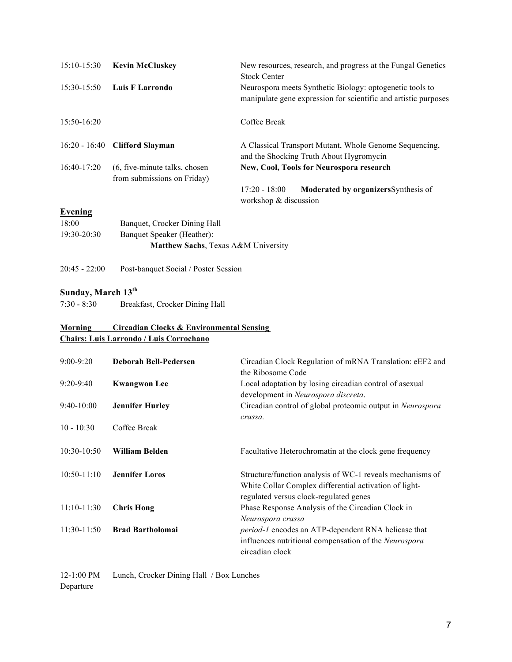| $15:10-15:30$   | <b>Kevin McCluskey</b>                                       | New resources, research, and progress at the Fungal Genetics<br><b>Stock Center</b>                                         |
|-----------------|--------------------------------------------------------------|-----------------------------------------------------------------------------------------------------------------------------|
| $15:30-15:50$   | Luis F Larrondo                                              | Neurospora meets Synthetic Biology: optogenetic tools to<br>manipulate gene expression for scientific and artistic purposes |
| $15:50-16:20$   |                                                              | Coffee Break                                                                                                                |
| $16:20 - 16:40$ | <b>Clifford Slayman</b>                                      | A Classical Transport Mutant, Whole Genome Sequencing,<br>and the Shocking Truth About Hygromycin                           |
| $16:40-17:20$   | (6, five-minute talks, chosen<br>from submissions on Friday) | New, Cool, Tools for Neurospora research                                                                                    |
|                 |                                                              | $17:20 - 18:00$<br>Moderated by organizers Synthesis of<br>workshop $&$ discussion                                          |
| <b>Evening</b>  |                                                              |                                                                                                                             |
| 18:00           | Banquet, Crocker Dining Hall                                 |                                                                                                                             |
| $19:30 - 20:30$ | Banquet Speaker (Heather):                                   |                                                                                                                             |

- **Matthew Sachs**, Texas A&M University
- 20:45 22:00 Post-banquet Social / Poster Session

#### **Sunday, March 13th**

7:30 - 8:30 Breakfast, Crocker Dining Hall

#### **Morning Circadian Clocks & Environmental Sensing Chairs: Luis Larrondo / Luis Corrochano**

| $9:00 - 9:20$   | <b>Deborah Bell-Pedersen</b> | Circadian Clock Regulation of mRNA Translation: eEF2 and<br>the Ribosome Code                                                                                 |
|-----------------|------------------------------|---------------------------------------------------------------------------------------------------------------------------------------------------------------|
| $9:20-9:40$     | <b>Kwangwon Lee</b>          | Local adaptation by losing circadian control of asexual<br>development in Neurospora discreta.                                                                |
| $9:40-10:00$    | <b>Jennifer Hurley</b>       | Circadian control of global proteomic output in Neurospora<br>crassa.                                                                                         |
| $10 - 10:30$    | Coffee Break                 |                                                                                                                                                               |
| $10:30-10:50$   | William Belden               | Facultative Heterochromatin at the clock gene frequency                                                                                                       |
| $10:50 - 11:10$ | <b>Jennifer Loros</b>        | Structure/function analysis of WC-1 reveals mechanisms of<br>White Collar Complex differential activation of light-<br>regulated versus clock-regulated genes |
| $11:10-11:30$   | <b>Chris Hong</b>            | Phase Response Analysis of the Circadian Clock in<br>Neurospora crassa                                                                                        |
| $11:30-11:50$   | <b>Brad Bartholomai</b>      | <i>period-1</i> encodes an ATP-dependent RNA helicase that<br>influences nutritional compensation of the Neurospora<br>circadian clock                        |

12-1:00 PM Lunch, Crocker Dining Hall / Box Lunches Departure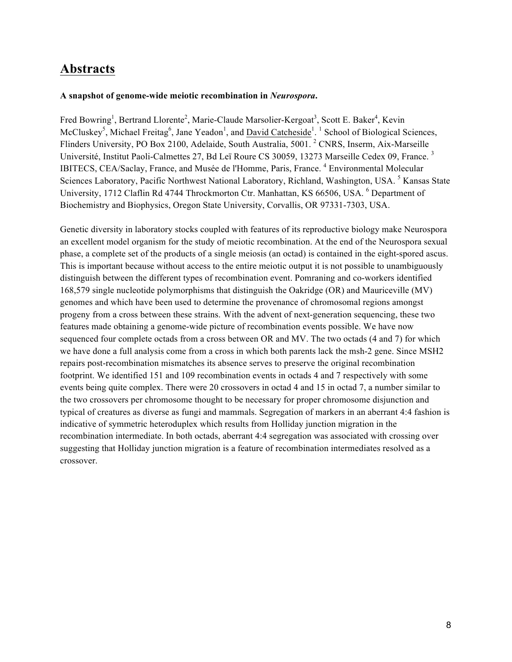#### **Abstracts**

#### **A snapshot of genome-wide meiotic recombination in** *Neurospora***.**

Fred Bowring<sup>1</sup>, Bertrand Llorente<sup>2</sup>, Marie-Claude Marsolier-Kergoat<sup>3</sup>, Scott E. Baker<sup>4</sup>, Kevin McCluskey<sup>5</sup>, Michael Freitag<sup>6</sup>, Jane Yeadon<sup>1</sup>, and David Catcheside<sup>1</sup>.<sup>1</sup> School of Biological Sciences, Flinders University, PO Box 2100, Adelaide, South Australia, 5001. <sup>2</sup> CNRS, Inserm, Aix-Marseille Université, Institut Paoli-Calmettes 27, Bd Leï Roure CS 30059, 13273 Marseille Cedex 09, France. <sup>3</sup> IBITECS, CEA/Saclay, France, and Musée de l'Homme, Paris, France. 4 Environmental Molecular Sciences Laboratory, Pacific Northwest National Laboratory, Richland, Washington, USA.<sup>5</sup> Kansas State University, 1712 Claflin Rd 4744 Throckmorton Ctr. Manhattan, KS 66506, USA. <sup>6</sup> Department of Biochemistry and Biophysics, Oregon State University, Corvallis, OR 97331-7303, USA.

Genetic diversity in laboratory stocks coupled with features of its reproductive biology make Neurospora an excellent model organism for the study of meiotic recombination. At the end of the Neurospora sexual phase, a complete set of the products of a single meiosis (an octad) is contained in the eight-spored ascus. This is important because without access to the entire meiotic output it is not possible to unambiguously distinguish between the different types of recombination event. Pomraning and co-workers identified 168,579 single nucleotide polymorphisms that distinguish the Oakridge (OR) and Mauriceville (MV) genomes and which have been used to determine the provenance of chromosomal regions amongst progeny from a cross between these strains. With the advent of next-generation sequencing, these two features made obtaining a genome-wide picture of recombination events possible. We have now sequenced four complete octads from a cross between OR and MV. The two octads (4 and 7) for which we have done a full analysis come from a cross in which both parents lack the msh-2 gene. Since MSH2 repairs post-recombination mismatches its absence serves to preserve the original recombination footprint. We identified 151 and 109 recombination events in octads 4 and 7 respectively with some events being quite complex. There were 20 crossovers in octad 4 and 15 in octad 7, a number similar to the two crossovers per chromosome thought to be necessary for proper chromosome disjunction and typical of creatures as diverse as fungi and mammals. Segregation of markers in an aberrant 4:4 fashion is indicative of symmetric heteroduplex which results from Holliday junction migration in the recombination intermediate. In both octads, aberrant 4:4 segregation was associated with crossing over suggesting that Holliday junction migration is a feature of recombination intermediates resolved as a crossover.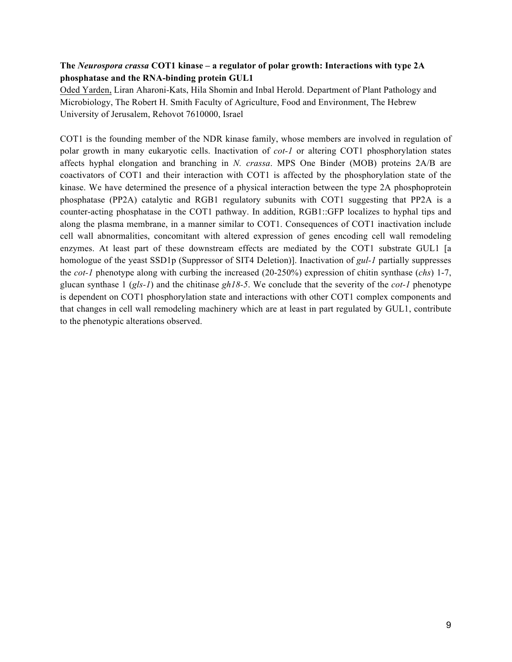#### **The** *Neurospora crassa* **COT1 kinase – a regulator of polar growth: Interactions with type 2A phosphatase and the RNA-binding protein GUL1**

Oded Yarden, Liran Aharoni-Kats, Hila Shomin and Inbal Herold. Department of Plant Pathology and Microbiology, The Robert H. Smith Faculty of Agriculture, Food and Environment, The Hebrew University of Jerusalem, Rehovot 7610000, Israel

COT1 is the founding member of the NDR kinase family, whose members are involved in regulation of polar growth in many eukaryotic cells. Inactivation of *cot-1* or altering COT1 phosphorylation states affects hyphal elongation and branching in *N. crassa*. MPS One Binder (MOB) proteins 2A/B are coactivators of COT1 and their interaction with COT1 is affected by the phosphorylation state of the kinase. We have determined the presence of a physical interaction between the type 2A phosphoprotein phosphatase (PP2A) catalytic and RGB1 regulatory subunits with COT1 suggesting that PP2A is a counter-acting phosphatase in the COT1 pathway. In addition, RGB1::GFP localizes to hyphal tips and along the plasma membrane, in a manner similar to COT1. Consequences of COT1 inactivation include cell wall abnormalities, concomitant with altered expression of genes encoding cell wall remodeling enzymes. At least part of these downstream effects are mediated by the COT1 substrate GUL1 [a homologue of the yeast SSD1p (Suppressor of SIT4 Deletion)]. Inactivation of *gul-1* partially suppresses the *cot-1* phenotype along with curbing the increased (20-250%) expression of chitin synthase (*chs*) 1-7, glucan synthase 1 (*gls-1*) and the chitinase *gh18-5*. We conclude that the severity of the *cot-1* phenotype is dependent on COT1 phosphorylation state and interactions with other COT1 complex components and that changes in cell wall remodeling machinery which are at least in part regulated by GUL1, contribute to the phenotypic alterations observed.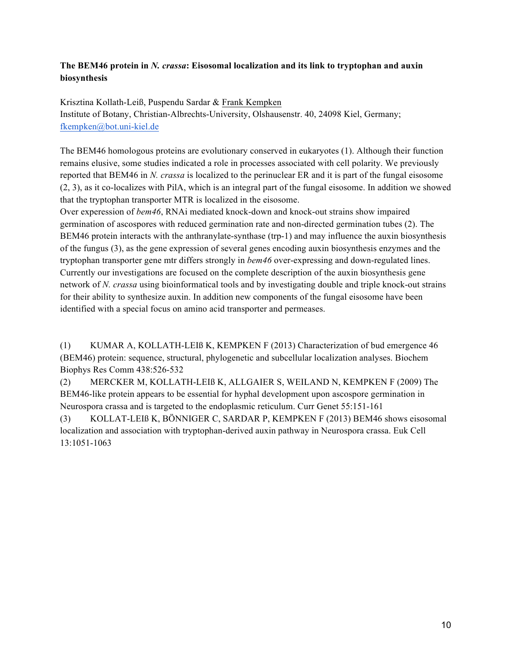#### **The BEM46 protein in** *N. crassa***: Eisosomal localization and its link to tryptophan and auxin biosynthesis**

Krisztina Kollath-Leiß, Puspendu Sardar & Frank Kempken Institute of Botany, Christian-Albrechts-University, Olshausenstr. 40, 24098 Kiel, Germany; fkempken@bot.uni-kiel.de

The BEM46 homologous proteins are evolutionary conserved in eukaryotes (1). Although their function remains elusive, some studies indicated a role in processes associated with cell polarity. We previously reported that BEM46 in *N. crassa* is localized to the perinuclear ER and it is part of the fungal eisosome (2, 3), as it co-localizes with PilA, which is an integral part of the fungal eisosome. In addition we showed that the tryptophan transporter MTR is localized in the eisosome.

Over experession of *bem46*, RNAi mediated knock-down and knock-out strains show impaired germination of ascospores with reduced germination rate and non-directed germination tubes (2). The BEM46 protein interacts with the anthranylate-synthase (trp-1) and may influence the auxin biosynthesis of the fungus (3), as the gene expression of several genes encoding auxin biosynthesis enzymes and the tryptophan transporter gene mtr differs strongly in *bem46* over-expressing and down-regulated lines. Currently our investigations are focused on the complete description of the auxin biosynthesis gene network of *N. crassa* using bioinformatical tools and by investigating double and triple knock-out strains for their ability to synthesize auxin. In addition new components of the fungal eisosome have been identified with a special focus on amino acid transporter and permeases.

(1) KUMAR A, KOLLATH-LEIß K, KEMPKEN F (2013) Characterization of bud emergence 46 (BEM46) protein: sequence, structural, phylogenetic and subcellular localization analyses. Biochem Biophys Res Comm 438:526-532

(2) MERCKER M, KOLLATH-LEIß K, ALLGAIER S, WEILAND N, KEMPKEN F (2009) The BEM46-like protein appears to be essential for hyphal development upon ascospore germination in Neurospora crassa and is targeted to the endoplasmic reticulum. Curr Genet 55:151-161

(3) KOLLAT-LEIß K, BÖNNIGER C, SARDAR P, KEMPKEN F (2013) BEM46 shows eisosomal localization and association with tryptophan-derived auxin pathway in Neurospora crassa. Euk Cell 13:1051-1063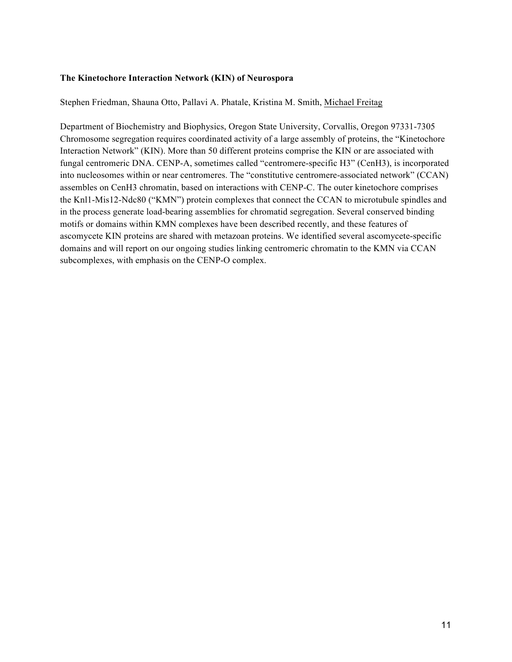#### **The Kinetochore Interaction Network (KIN) of Neurospora**

Stephen Friedman, Shauna Otto, Pallavi A. Phatale, Kristina M. Smith, Michael Freitag

Department of Biochemistry and Biophysics, Oregon State University, Corvallis, Oregon 97331-7305 Chromosome segregation requires coordinated activity of a large assembly of proteins, the "Kinetochore Interaction Network" (KIN). More than 50 different proteins comprise the KIN or are associated with fungal centromeric DNA. CENP-A, sometimes called "centromere-specific H3" (CenH3), is incorporated into nucleosomes within or near centromeres. The "constitutive centromere-associated network" (CCAN) assembles on CenH3 chromatin, based on interactions with CENP-C. The outer kinetochore comprises the Knl1-Mis12-Ndc80 ("KMN") protein complexes that connect the CCAN to microtubule spindles and in the process generate load-bearing assemblies for chromatid segregation. Several conserved binding motifs or domains within KMN complexes have been described recently, and these features of ascomycete KIN proteins are shared with metazoan proteins. We identified several ascomycete-specific domains and will report on our ongoing studies linking centromeric chromatin to the KMN via CCAN subcomplexes, with emphasis on the CENP-O complex.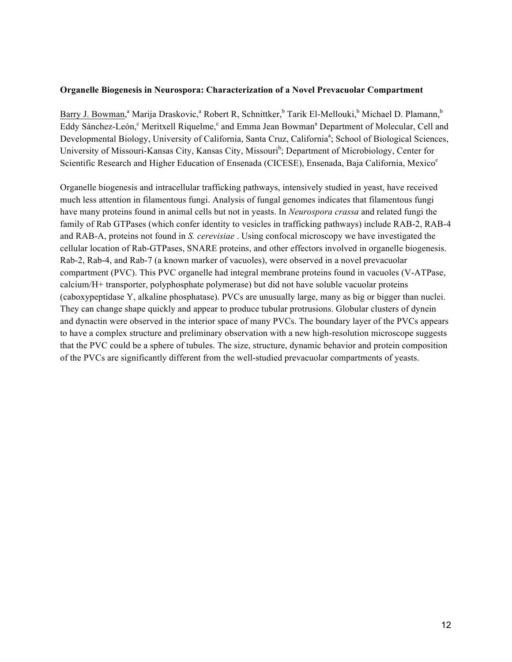#### **Organelle Biogenesis in Neurospora: Characterization of a Novel Prevacuolar Compartment**

Barry J. Bowman,<sup>a</sup> Marija Draskovic,<sup>a</sup> Robert R, Schnittker,<sup>b</sup> Tarik El-Mellouki,<sup>b</sup> Michael D. Plamann,<sup>b</sup> Eddy Sánchez-León,<sup>c</sup> Meritxell Riquelme,<sup>c</sup> and Emma Jean Bowman<sup>a</sup> Department of Molecular, Cell and Developmental Biology, University of California, Santa Cruz, California<sup>a</sup>; School of Biological Sciences, University of Missouri-Kansas City, Kansas City, Missouri<sup>b</sup>; Department of Microbiology, Center for Scientific Research and Higher Education of Ensenada (CICESE), Ensenada, Baja California, Mexico<sup>c</sup>

Organelle biogenesis and intracellular trafficking pathways, intensively studied in yeast, have received much less attention in filamentous fungi. Analysis of fungal genomes indicates that filamentous fungi have many proteins found in animal cells but not in yeasts. In *Neurospora crassa* and related fungi the family of Rab GTPases (which confer identity to vesicles in trafficking pathways) include RAB-2, RAB-4 and RAB-A, proteins not found in *S. cerevisiae* . Using confocal microscopy we have investigated the cellular location of Rab-GTPases, SNARE proteins, and other effectors involved in organelle biogenesis. Rab-2, Rab-4, and Rab-7 (a known marker of vacuoles), were observed in a novel prevacuolar compartment (PVC). This PVC organelle had integral membrane proteins found in vacuoles (V-ATPase, calcium/H+ transporter, polyphosphate polymerase) but did not have soluble vacuolar proteins (caboxypeptidase Y, alkaline phosphatase). PVCs are unusually large, many as big or bigger than nuclei. They can change shape quickly and appear to produce tubular protrusions. Globular clusters of dynein and dynactin were observed in the interior space of many PVCs. The boundary layer of the PVCs appears to have a complex structure and preliminary observation with a new high-resolution microscope suggests that the PVC could be a sphere of tubules. The size, structure, dynamic behavior and protein composition of the PVCs are significantly different from the well-studied prevacuolar compartments of yeasts.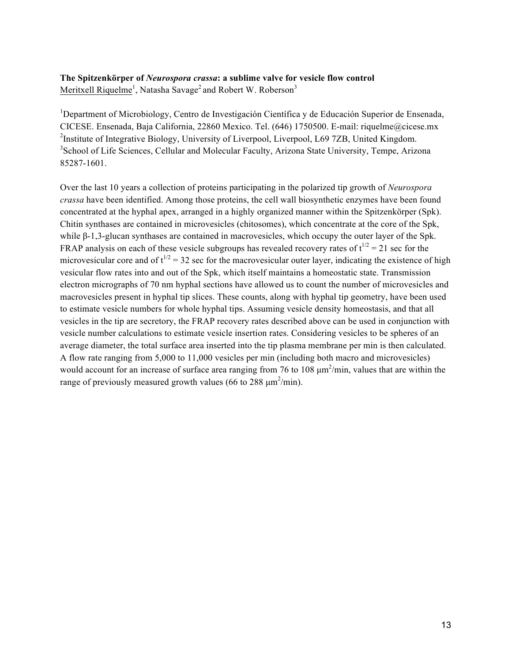#### **The Spitzenkörper of** *Neurospora crassa***: a sublime valve for vesicle flow control**

Meritxell Riquelme<sup>1</sup>, Natasha Savage<sup>2</sup> and Robert W. Roberson<sup>3</sup>

<sup>1</sup>Department of Microbiology, Centro de Investigación Científica y de Educación Superior de Ensenada, CICESE. Ensenada, Baja California, 22860 Mexico. Tel. (646) 1750500. E-mail: riquelme@cicese.mx <sup>2</sup>Institute of Integrative Biology, University of Liverpool, Liverpool, L69 7ZB, United Kingdom. <sup>3</sup>School of Life Sciences, Cellular and Molecular Faculty, Arizona State University, Tempe, Arizona 85287-1601.

Over the last 10 years a collection of proteins participating in the polarized tip growth of *Neurospora crassa* have been identified. Among those proteins, the cell wall biosynthetic enzymes have been found concentrated at the hyphal apex, arranged in a highly organized manner within the Spitzenkörper (Spk). Chitin synthases are contained in microvesicles (chitosomes), which concentrate at the core of the Spk, while β-1,3-glucan synthases are contained in macrovesicles, which occupy the outer layer of the Spk. FRAP analysis on each of these vesicle subgroups has revealed recovery rates of  $t^{1/2} = 21$  sec for the microvesicular core and of  $t^{1/2} = 32$  sec for the macrovesicular outer layer, indicating the existence of high vesicular flow rates into and out of the Spk, which itself maintains a homeostatic state. Transmission electron micrographs of 70 nm hyphal sections have allowed us to count the number of microvesicles and macrovesicles present in hyphal tip slices. These counts, along with hyphal tip geometry, have been used to estimate vesicle numbers for whole hyphal tips. Assuming vesicle density homeostasis, and that all vesicles in the tip are secretory, the FRAP recovery rates described above can be used in conjunction with vesicle number calculations to estimate vesicle insertion rates. Considering vesicles to be spheres of an average diameter, the total surface area inserted into the tip plasma membrane per min is then calculated. A flow rate ranging from 5,000 to 11,000 vesicles per min (including both macro and microvesicles) would account for an increase of surface area ranging from 76 to 108  $\mu$ m<sup>2</sup>/min, values that are within the range of previously measured growth values (66 to 288  $\mu$ m<sup>2</sup>/min).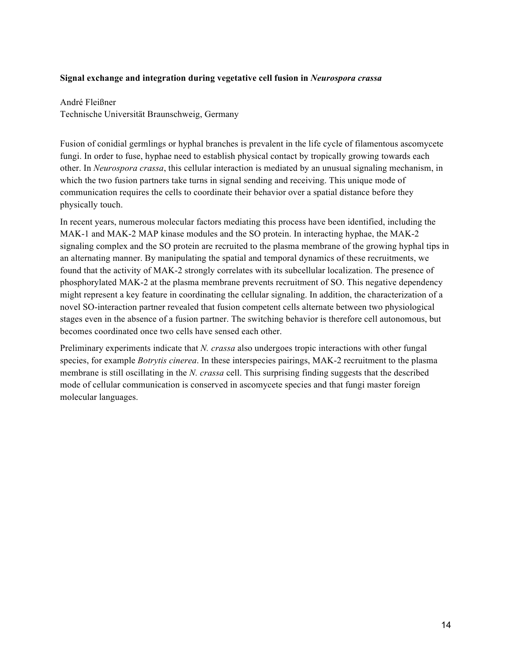#### **Signal exchange and integration during vegetative cell fusion in** *Neurospora crassa*

André Fleißner Technische Universität Braunschweig, Germany

Fusion of conidial germlings or hyphal branches is prevalent in the life cycle of filamentous ascomycete fungi. In order to fuse, hyphae need to establish physical contact by tropically growing towards each other. In *Neurospora crassa*, this cellular interaction is mediated by an unusual signaling mechanism, in which the two fusion partners take turns in signal sending and receiving. This unique mode of communication requires the cells to coordinate their behavior over a spatial distance before they physically touch.

In recent years, numerous molecular factors mediating this process have been identified, including the MAK-1 and MAK-2 MAP kinase modules and the SO protein. In interacting hyphae, the MAK-2 signaling complex and the SO protein are recruited to the plasma membrane of the growing hyphal tips in an alternating manner. By manipulating the spatial and temporal dynamics of these recruitments, we found that the activity of MAK-2 strongly correlates with its subcellular localization. The presence of phosphorylated MAK-2 at the plasma membrane prevents recruitment of SO. This negative dependency might represent a key feature in coordinating the cellular signaling. In addition, the characterization of a novel SO-interaction partner revealed that fusion competent cells alternate between two physiological stages even in the absence of a fusion partner. The switching behavior is therefore cell autonomous, but becomes coordinated once two cells have sensed each other.

Preliminary experiments indicate that *N. crassa* also undergoes tropic interactions with other fungal species, for example *Botrytis cinerea*. In these interspecies pairings, MAK-2 recruitment to the plasma membrane is still oscillating in the *N. crassa* cell. This surprising finding suggests that the described mode of cellular communication is conserved in ascomycete species and that fungi master foreign molecular languages.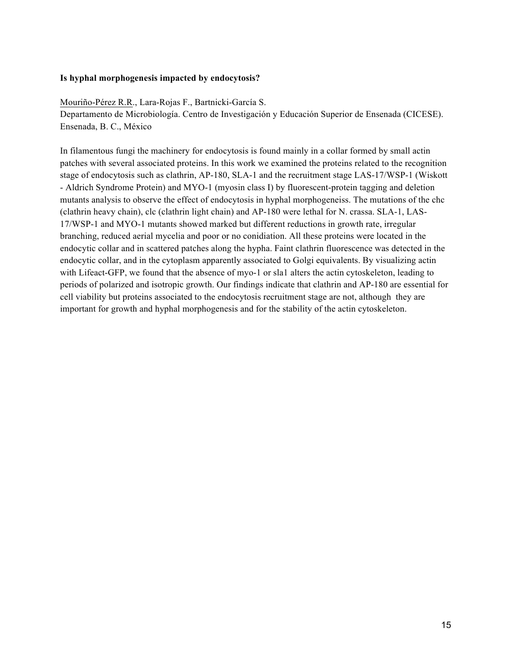#### **Is hyphal morphogenesis impacted by endocytosis?**

Mouriño-Pérez R.R., Lara-Rojas F., Bartnicki-García S. Departamento de Microbiología. Centro de Investigación y Educación Superior de Ensenada (CICESE). Ensenada, B. C., México

In filamentous fungi the machinery for endocytosis is found mainly in a collar formed by small actin patches with several associated proteins. In this work we examined the proteins related to the recognition stage of endocytosis such as clathrin, AP-180, SLA-1 and the recruitment stage LAS-17/WSP-1 (Wiskott - Aldrich Syndrome Protein) and MYO-1 (myosin class I) by fluorescent-protein tagging and deletion mutants analysis to observe the effect of endocytosis in hyphal morphogeneiss. The mutations of the chc (clathrin heavy chain), clc (clathrin light chain) and AP-180 were lethal for N. crassa. SLA-1, LAS-17/WSP-1 and MYO-1 mutants showed marked but different reductions in growth rate, irregular branching, reduced aerial mycelia and poor or no conidiation. All these proteins were located in the endocytic collar and in scattered patches along the hypha. Faint clathrin fluorescence was detected in the endocytic collar, and in the cytoplasm apparently associated to Golgi equivalents. By visualizing actin with Lifeact-GFP, we found that the absence of myo-1 or sla1 alters the actin cytoskeleton, leading to periods of polarized and isotropic growth. Our findings indicate that clathrin and AP-180 are essential for cell viability but proteins associated to the endocytosis recruitment stage are not, although they are important for growth and hyphal morphogenesis and for the stability of the actin cytoskeleton.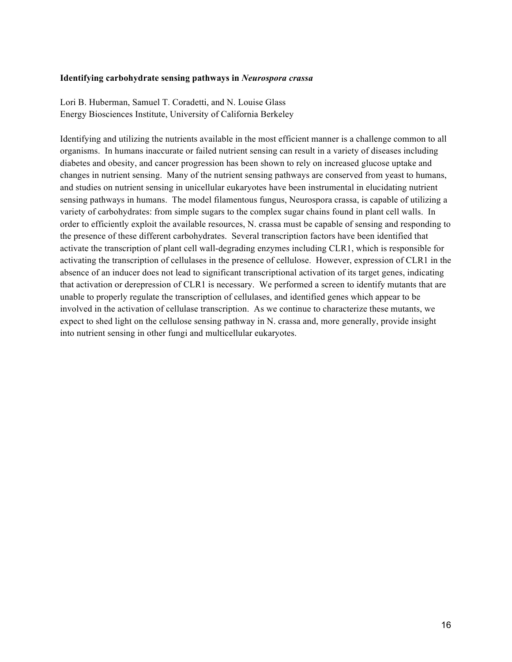#### **Identifying carbohydrate sensing pathways in** *Neurospora crassa*

Lori B. Huberman, Samuel T. Coradetti, and N. Louise Glass Energy Biosciences Institute, University of California Berkeley

Identifying and utilizing the nutrients available in the most efficient manner is a challenge common to all organisms. In humans inaccurate or failed nutrient sensing can result in a variety of diseases including diabetes and obesity, and cancer progression has been shown to rely on increased glucose uptake and changes in nutrient sensing. Many of the nutrient sensing pathways are conserved from yeast to humans, and studies on nutrient sensing in unicellular eukaryotes have been instrumental in elucidating nutrient sensing pathways in humans. The model filamentous fungus, Neurospora crassa, is capable of utilizing a variety of carbohydrates: from simple sugars to the complex sugar chains found in plant cell walls. In order to efficiently exploit the available resources, N. crassa must be capable of sensing and responding to the presence of these different carbohydrates. Several transcription factors have been identified that activate the transcription of plant cell wall-degrading enzymes including CLR1, which is responsible for activating the transcription of cellulases in the presence of cellulose. However, expression of CLR1 in the absence of an inducer does not lead to significant transcriptional activation of its target genes, indicating that activation or derepression of CLR1 is necessary. We performed a screen to identify mutants that are unable to properly regulate the transcription of cellulases, and identified genes which appear to be involved in the activation of cellulase transcription. As we continue to characterize these mutants, we expect to shed light on the cellulose sensing pathway in N. crassa and, more generally, provide insight into nutrient sensing in other fungi and multicellular eukaryotes.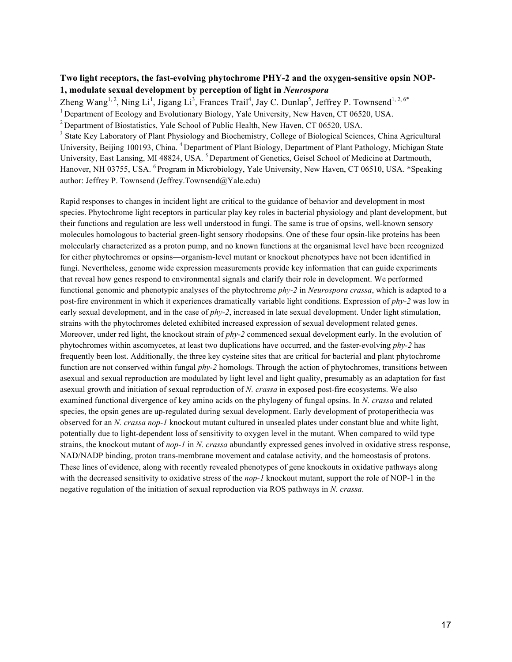#### **Two light receptors, the fast-evolving phytochrome PHY-2 and the oxygen-sensitive opsin NOP-1, modulate sexual development by perception of light in** *Neurospora*

Zheng Wang<sup>1, 2</sup>, Ning Li<sup>1</sup>, Jigang Li<sup>3</sup>, Frances Trail<sup>4</sup>, Jay C. Dunlap<sup>5</sup>, Jeffrey P. Townsend<sup>1, 2, 6\*</sup>

<sup>1</sup> Department of Ecology and Evolutionary Biology, Yale University, New Haven, CT 06520, USA.

<sup>2</sup> Department of Biostatistics, Yale School of Public Health, New Haven, CT 06520, USA.

<sup>3</sup> State Key Laboratory of Plant Physiology and Biochemistry, College of Biological Sciences, China Agricultural University, Beijing 100193, China. 4 Department of Plant Biology, Department of Plant Pathology, Michigan State University, East Lansing, MI 48824, USA.<sup>5</sup> Department of Genetics, Geisel School of Medicine at Dartmouth, Hanover, NH 03755, USA. <sup>6</sup> Program in Microbiology, Yale University, New Haven, CT 06510, USA. \*Speaking author: Jeffrey P. Townsend (Jeffrey.Townsend@Yale.edu)

Rapid responses to changes in incident light are critical to the guidance of behavior and development in most species. Phytochrome light receptors in particular play key roles in bacterial physiology and plant development, but their functions and regulation are less well understood in fungi. The same is true of opsins, well-known sensory molecules homologous to bacterial green-light sensory rhodopsins. One of these four opsin-like proteins has been molecularly characterized as a proton pump, and no known functions at the organismal level have been recognized for either phytochromes or opsins—organism-level mutant or knockout phenotypes have not been identified in fungi. Nevertheless, genome wide expression measurements provide key information that can guide experiments that reveal how genes respond to environmental signals and clarify their role in development. We performed functional genomic and phenotypic analyses of the phytochrome *phy-2* in *Neurospora crassa*, which is adapted to a post-fire environment in which it experiences dramatically variable light conditions. Expression of *phy-2* was low in early sexual development, and in the case of *phy-2*, increased in late sexual development. Under light stimulation, strains with the phytochromes deleted exhibited increased expression of sexual development related genes. Moreover, under red light, the knockout strain of *phy-2* commenced sexual development early. In the evolution of phytochromes within ascomycetes, at least two duplications have occurred, and the faster-evolving *phy-2* has frequently been lost. Additionally, the three key cysteine sites that are critical for bacterial and plant phytochrome function are not conserved within fungal *phy-2* homologs. Through the action of phytochromes, transitions between asexual and sexual reproduction are modulated by light level and light quality, presumably as an adaptation for fast asexual growth and initiation of sexual reproduction of *N. crassa* in exposed post-fire ecosystems. We also examined functional divergence of key amino acids on the phylogeny of fungal opsins. In *N. crassa* and related species, the opsin genes are up-regulated during sexual development. Early development of protoperithecia was observed for an *N. crassa nop-1* knockout mutant cultured in unsealed plates under constant blue and white light, potentially due to light-dependent loss of sensitivity to oxygen level in the mutant. When compared to wild type strains, the knockout mutant of *nop-1* in *N. crassa* abundantly expressed genes involved in oxidative stress response, NAD/NADP binding, proton trans-membrane movement and catalase activity, and the homeostasis of protons. These lines of evidence, along with recently revealed phenotypes of gene knockouts in oxidative pathways along with the decreased sensitivity to oxidative stress of the *nop-1* knockout mutant, support the role of NOP-1 in the negative regulation of the initiation of sexual reproduction via ROS pathways in *N. crassa*.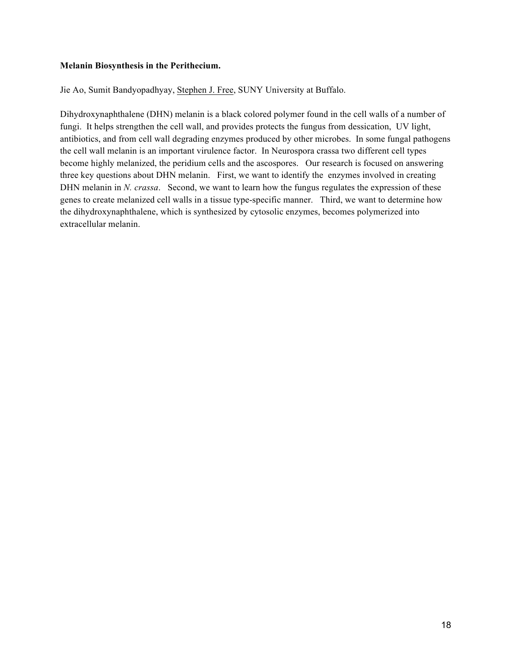#### **Melanin Biosynthesis in the Perithecium.**

Jie Ao, Sumit Bandyopadhyay, Stephen J. Free, SUNY University at Buffalo.

Dihydroxynaphthalene (DHN) melanin is a black colored polymer found in the cell walls of a number of fungi. It helps strengthen the cell wall, and provides protects the fungus from dessication, UV light, antibiotics, and from cell wall degrading enzymes produced by other microbes. In some fungal pathogens the cell wall melanin is an important virulence factor. In Neurospora crassa two different cell types become highly melanized, the peridium cells and the ascospores. Our research is focused on answering three key questions about DHN melanin. First, we want to identify the enzymes involved in creating DHN melanin in *N. crassa*. Second, we want to learn how the fungus regulates the expression of these genes to create melanized cell walls in a tissue type-specific manner. Third, we want to determine how the dihydroxynaphthalene, which is synthesized by cytosolic enzymes, becomes polymerized into extracellular melanin.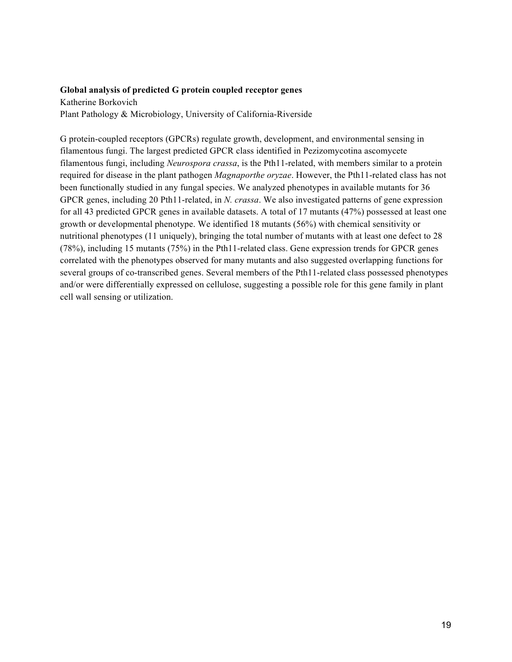#### **Global analysis of predicted G protein coupled receptor genes**

Katherine Borkovich Plant Pathology & Microbiology, University of California-Riverside

G protein-coupled receptors (GPCRs) regulate growth, development, and environmental sensing in filamentous fungi. The largest predicted GPCR class identified in Pezizomycotina ascomycete filamentous fungi, including *Neurospora crassa*, is the Pth11-related, with members similar to a protein required for disease in the plant pathogen *Magnaporthe oryzae*. However, the Pth11-related class has not been functionally studied in any fungal species. We analyzed phenotypes in available mutants for 36 GPCR genes, including 20 Pth11-related, in *N. crassa*. We also investigated patterns of gene expression for all 43 predicted GPCR genes in available datasets. A total of 17 mutants (47%) possessed at least one growth or developmental phenotype. We identified 18 mutants (56%) with chemical sensitivity or nutritional phenotypes (11 uniquely), bringing the total number of mutants with at least one defect to 28 (78%), including 15 mutants (75%) in the Pth11-related class. Gene expression trends for GPCR genes correlated with the phenotypes observed for many mutants and also suggested overlapping functions for several groups of co-transcribed genes. Several members of the Pth11-related class possessed phenotypes and/or were differentially expressed on cellulose, suggesting a possible role for this gene family in plant cell wall sensing or utilization.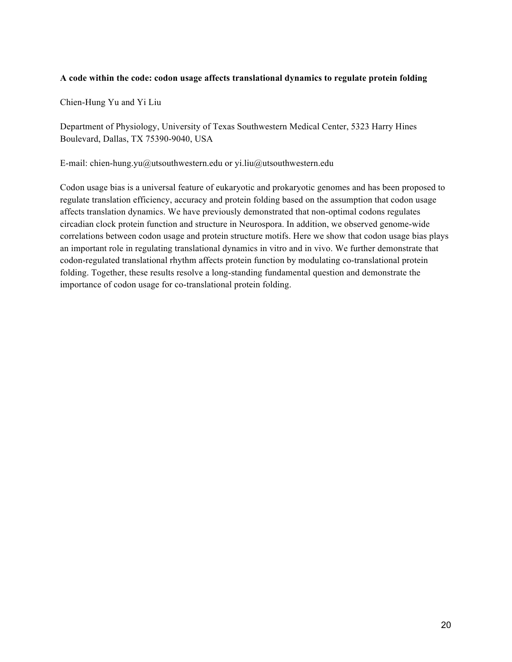#### **A code within the code: codon usage affects translational dynamics to regulate protein folding**

Chien-Hung Yu and Yi Liu

Department of Physiology, University of Texas Southwestern Medical Center, 5323 Harry Hines Boulevard, Dallas, TX 75390-9040, USA

E-mail: chien-hung.yu@utsouthwestern.edu or yi.liu@utsouthwestern.edu

Codon usage bias is a universal feature of eukaryotic and prokaryotic genomes and has been proposed to regulate translation efficiency, accuracy and protein folding based on the assumption that codon usage affects translation dynamics. We have previously demonstrated that non-optimal codons regulates circadian clock protein function and structure in Neurospora. In addition, we observed genome-wide correlations between codon usage and protein structure motifs. Here we show that codon usage bias plays an important role in regulating translational dynamics in vitro and in vivo. We further demonstrate that codon-regulated translational rhythm affects protein function by modulating co-translational protein folding. Together, these results resolve a long-standing fundamental question and demonstrate the importance of codon usage for co-translational protein folding.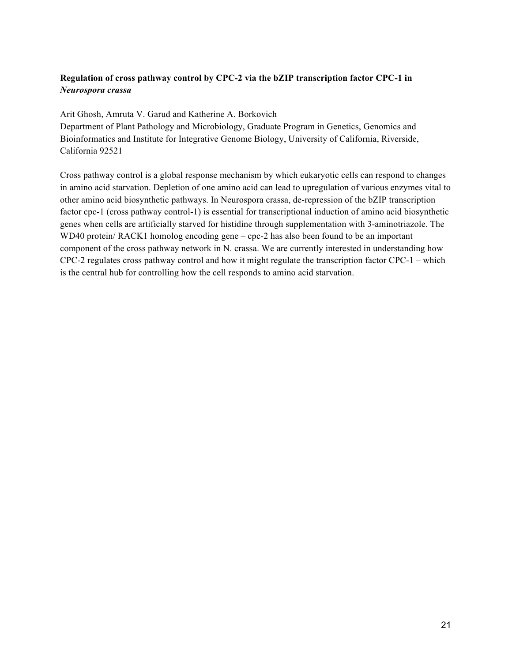#### **Regulation of cross pathway control by CPC-2 via the bZIP transcription factor CPC-1 in**  *Neurospora crassa*

Arit Ghosh, Amruta V. Garud and Katherine A. Borkovich

Department of Plant Pathology and Microbiology, Graduate Program in Genetics, Genomics and Bioinformatics and Institute for Integrative Genome Biology, University of California, Riverside, California 92521

Cross pathway control is a global response mechanism by which eukaryotic cells can respond to changes in amino acid starvation. Depletion of one amino acid can lead to upregulation of various enzymes vital to other amino acid biosynthetic pathways. In Neurospora crassa, de-repression of the bZIP transcription factor cpc-1 (cross pathway control-1) is essential for transcriptional induction of amino acid biosynthetic genes when cells are artificially starved for histidine through supplementation with 3-aminotriazole. The WD40 protein/ RACK1 homolog encoding gene – cpc-2 has also been found to be an important component of the cross pathway network in N. crassa. We are currently interested in understanding how CPC-2 regulates cross pathway control and how it might regulate the transcription factor CPC-1 – which is the central hub for controlling how the cell responds to amino acid starvation.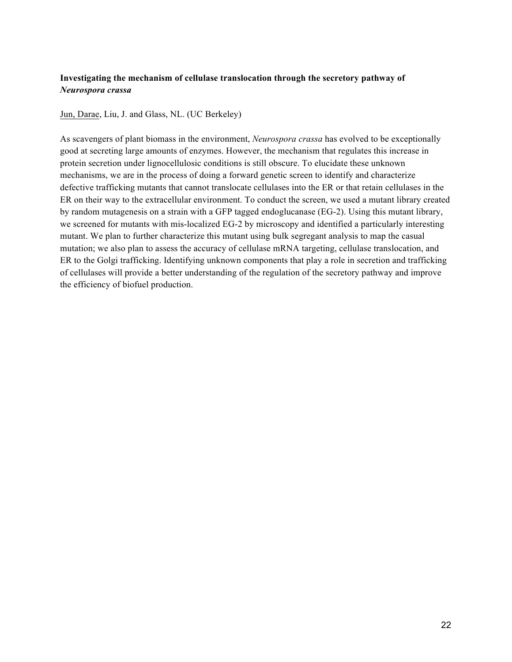#### **Investigating the mechanism of cellulase translocation through the secretory pathway of**  *Neurospora crassa*

Jun, Darae, Liu, J. and Glass, NL. (UC Berkeley)

As scavengers of plant biomass in the environment, *Neurospora crassa* has evolved to be exceptionally good at secreting large amounts of enzymes. However, the mechanism that regulates this increase in protein secretion under lignocellulosic conditions is still obscure. To elucidate these unknown mechanisms, we are in the process of doing a forward genetic screen to identify and characterize defective trafficking mutants that cannot translocate cellulases into the ER or that retain cellulases in the ER on their way to the extracellular environment. To conduct the screen, we used a mutant library created by random mutagenesis on a strain with a GFP tagged endoglucanase (EG-2). Using this mutant library, we screened for mutants with mis-localized EG-2 by microscopy and identified a particularly interesting mutant. We plan to further characterize this mutant using bulk segregant analysis to map the casual mutation; we also plan to assess the accuracy of cellulase mRNA targeting, cellulase translocation, and ER to the Golgi trafficking. Identifying unknown components that play a role in secretion and trafficking of cellulases will provide a better understanding of the regulation of the secretory pathway and improve the efficiency of biofuel production.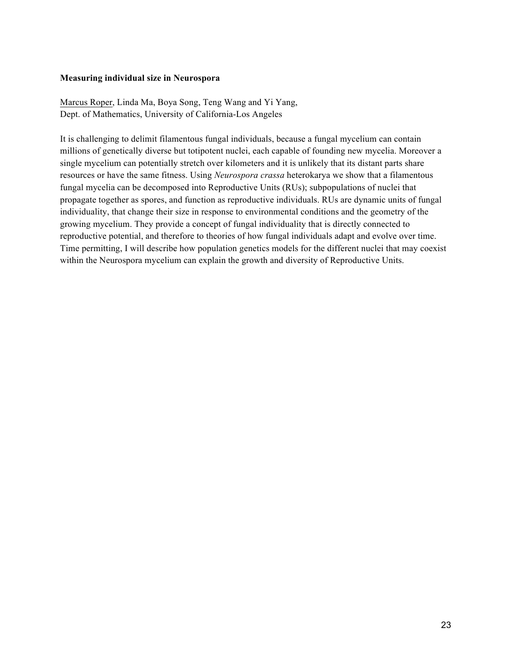#### **Measuring individual size in Neurospora**

Marcus Roper, Linda Ma, Boya Song, Teng Wang and Yi Yang, Dept. of Mathematics, University of California-Los Angeles

It is challenging to delimit filamentous fungal individuals, because a fungal mycelium can contain millions of genetically diverse but totipotent nuclei, each capable of founding new mycelia. Moreover a single mycelium can potentially stretch over kilometers and it is unlikely that its distant parts share resources or have the same fitness. Using *Neurospora crassa* heterokarya we show that a filamentous fungal mycelia can be decomposed into Reproductive Units (RUs); subpopulations of nuclei that propagate together as spores, and function as reproductive individuals. RUs are dynamic units of fungal individuality, that change their size in response to environmental conditions and the geometry of the growing mycelium. They provide a concept of fungal individuality that is directly connected to reproductive potential, and therefore to theories of how fungal individuals adapt and evolve over time. Time permitting, I will describe how population genetics models for the different nuclei that may coexist within the Neurospora mycelium can explain the growth and diversity of Reproductive Units.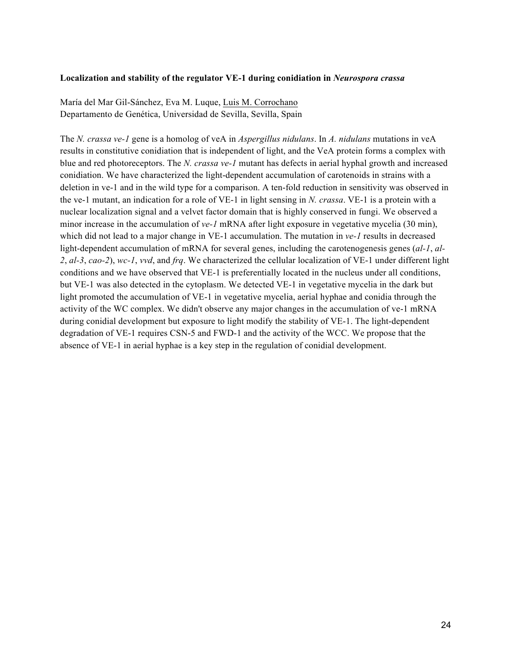#### **Localization and stability of the regulator VE-1 during conidiation in** *Neurospora crassa*

María del Mar Gil-Sánchez, Eva M. Luque, Luis M. Corrochano Departamento de Genética, Universidad de Sevilla, Sevilla, Spain

The *N. crassa ve-1* gene is a homolog of veA in *Aspergillus nidulans*. In *A. nidulans* mutations in veA results in constitutive conidiation that is independent of light, and the VeA protein forms a complex with blue and red photoreceptors. The *N. crassa ve-1* mutant has defects in aerial hyphal growth and increased conidiation. We have characterized the light-dependent accumulation of carotenoids in strains with a deletion in ve-1 and in the wild type for a comparison. A ten-fold reduction in sensitivity was observed in the ve-1 mutant, an indication for a role of VE-1 in light sensing in *N. crassa*. VE-1 is a protein with a nuclear localization signal and a velvet factor domain that is highly conserved in fungi. We observed a minor increase in the accumulation of *ve-1* mRNA after light exposure in vegetative mycelia (30 min), which did not lead to a major change in VE-1 accumulation. The mutation in *ve-1* results in decreased light-dependent accumulation of mRNA for several genes, including the carotenogenesis genes (*al-1*, *al-2*, *al-3*, *cao-2*), *wc-1*, *vvd*, and *frq*. We characterized the cellular localization of VE-1 under different light conditions and we have observed that VE-1 is preferentially located in the nucleus under all conditions, but VE-1 was also detected in the cytoplasm. We detected VE-1 in vegetative mycelia in the dark but light promoted the accumulation of VE-1 in vegetative mycelia, aerial hyphae and conidia through the activity of the WC complex. We didn't observe any major changes in the accumulation of ve-1 mRNA during conidial development but exposure to light modify the stability of VE-1. The light-dependent degradation of VE-1 requires CSN-5 and FWD-1 and the activity of the WCC. We propose that the absence of VE-1 in aerial hyphae is a key step in the regulation of conidial development.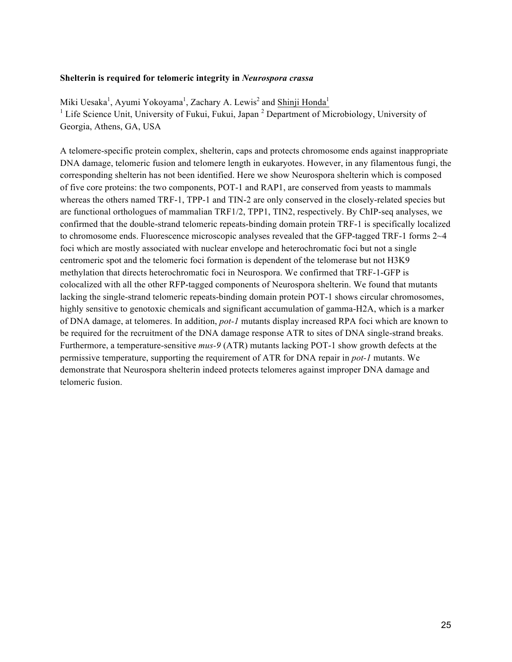#### **Shelterin is required for telomeric integrity in** *Neurospora crassa*

Miki Uesaka<sup>1</sup>, Ayumi Yokoyama<sup>1</sup>, Zachary A. Lewis<sup>2</sup> and Shinji Honda<sup>1</sup> <sup>1</sup> Life Science Unit, University of Fukui, Fukui, Japan<sup>2</sup> Department of Microbiology, University of Georgia, Athens, GA, USA

A telomere-specific protein complex, shelterin, caps and protects chromosome ends against inappropriate DNA damage, telomeric fusion and telomere length in eukaryotes. However, in any filamentous fungi, the corresponding shelterin has not been identified. Here we show Neurospora shelterin which is composed of five core proteins: the two components, POT-1 and RAP1, are conserved from yeasts to mammals whereas the others named TRF-1, TPP-1 and TIN-2 are only conserved in the closely-related species but are functional orthologues of mammalian TRF1/2, TPP1, TIN2, respectively. By ChIP-seq analyses, we confirmed that the double-strand telomeric repeats-binding domain protein TRF-1 is specifically localized to chromosome ends. Fluorescence microscopic analyses revealed that the GFP-tagged TRF-1 forms 2~4 foci which are mostly associated with nuclear envelope and heterochromatic foci but not a single centromeric spot and the telomeric foci formation is dependent of the telomerase but not H3K9 methylation that directs heterochromatic foci in Neurospora. We confirmed that TRF-1-GFP is colocalized with all the other RFP-tagged components of Neurospora shelterin. We found that mutants lacking the single-strand telomeric repeats-binding domain protein POT-1 shows circular chromosomes, highly sensitive to genotoxic chemicals and significant accumulation of gamma-H2A, which is a marker of DNA damage, at telomeres. In addition, *pot-1* mutants display increased RPA foci which are known to be required for the recruitment of the DNA damage response ATR to sites of DNA single-strand breaks. Furthermore, a temperature-sensitive *mus-9* (ATR) mutants lacking POT-1 show growth defects at the permissive temperature, supporting the requirement of ATR for DNA repair in *pot-1* mutants. We demonstrate that Neurospora shelterin indeed protects telomeres against improper DNA damage and telomeric fusion.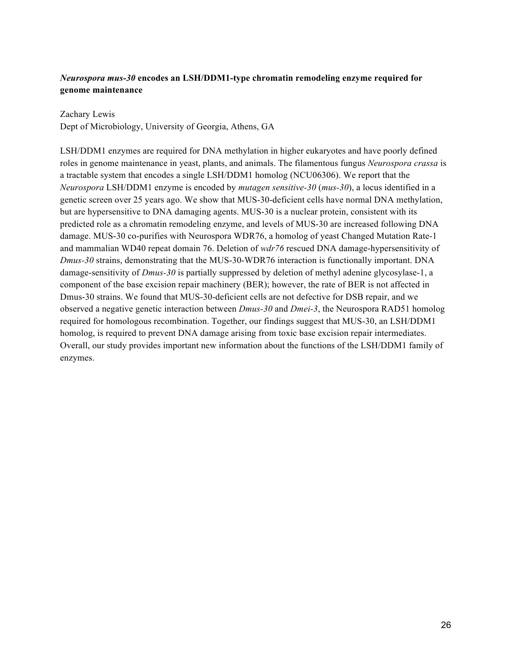#### *Neurospora mus-30* **encodes an LSH/DDM1-type chromatin remodeling enzyme required for genome maintenance**

#### Zachary Lewis

Dept of Microbiology, University of Georgia, Athens, GA

LSH/DDM1 enzymes are required for DNA methylation in higher eukaryotes and have poorly defined roles in genome maintenance in yeast, plants, and animals. The filamentous fungus *Neurospora crassa* is a tractable system that encodes a single LSH/DDM1 homolog (NCU06306). We report that the *Neurospora* LSH/DDM1 enzyme is encoded by *mutagen sensitive-30* (*mus-30*), a locus identified in a genetic screen over 25 years ago. We show that MUS-30-deficient cells have normal DNA methylation, but are hypersensitive to DNA damaging agents. MUS-30 is a nuclear protein, consistent with its predicted role as a chromatin remodeling enzyme, and levels of MUS-30 are increased following DNA damage. MUS-30 co-purifies with Neurospora WDR76, a homolog of yeast Changed Mutation Rate-1 and mammalian WD40 repeat domain 76. Deletion of *wdr76* rescued DNA damage-hypersensitivity of *Dmus-30* strains, demonstrating that the MUS-30-WDR76 interaction is functionally important. DNA damage-sensitivity of *Dmus-30* is partially suppressed by deletion of methyl adenine glycosylase-1, a component of the base excision repair machinery (BER); however, the rate of BER is not affected in Dmus-30 strains. We found that MUS-30-deficient cells are not defective for DSB repair, and we observed a negative genetic interaction between *Dmus-30* and *Dmei-3*, the Neurospora RAD51 homolog required for homologous recombination. Together, our findings suggest that MUS-30, an LSH/DDM1 homolog, is required to prevent DNA damage arising from toxic base excision repair intermediates. Overall, our study provides important new information about the functions of the LSH/DDM1 family of enzymes.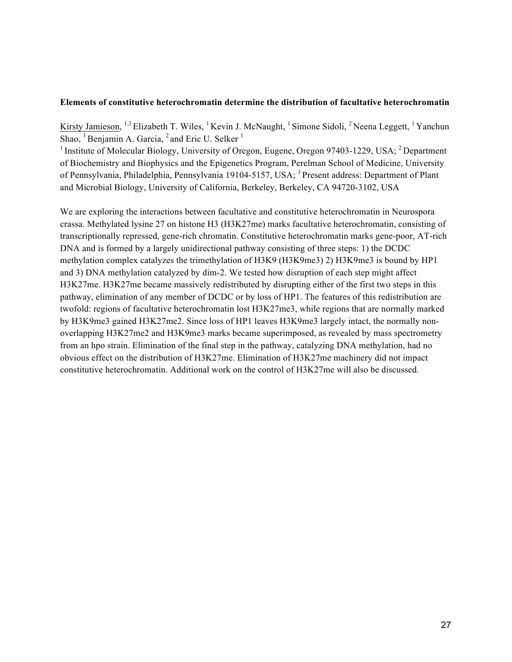#### **Elements of constitutive heterochromatin determine the distribution of facultative heterochromatin**

Kirsty Jamieson, <sup>1,3</sup> Elizabeth T. Wiles, <sup>1</sup> Kevin J. McNaught, <sup>1</sup> Simone Sidoli, <sup>2</sup> Neena Leggett, <sup>1</sup> Yanchun Shao,  ${}^{1}$ Benjamin A. Garcia,  ${}^{2}$  and Eric U. Selker  ${}^{1}$ 

<sup>1</sup> Institute of Molecular Biology, University of Oregon, Eugene, Oregon 97403-1229, USA; <sup>2</sup> Department of Biochemistry and Biophysics and the Epigenetics Program, Perelman School of Medicine, University of Pennsylvania, Philadelphia, Pennsylvania 19104-5157, USA; <sup>3</sup> Present address: Department of Plant and Microbial Biology, University of California, Berkeley, Berkeley, CA 94720-3102, USA

We are exploring the interactions between facultative and constitutive heterochromatin in Neurospora crassa. Methylated lysine 27 on histone H3 (H3K27me) marks facultative heterochromatin, consisting of transcriptionally repressed, gene-rich chromatin. Constitutive heterochromatin marks gene-poor, AT-rich DNA and is formed by a largely unidirectional pathway consisting of three steps: 1) the DCDC methylation complex catalyzes the trimethylation of H3K9 (H3K9me3) 2) H3K9me3 is bound by HP1 and 3) DNA methylation catalyzed by dim-2. We tested how disruption of each step might affect H3K27me. H3K27me became massively redistributed by disrupting either of the first two steps in this pathway, elimination of any member of DCDC or by loss of HP1. The features of this redistribution are twofold: regions of facultative heterochromatin lost H3K27me3, while regions that are normally marked by H3K9me3 gained H3K27me2. Since loss of HP1 leaves H3K9me3 largely intact, the normally nonoverlapping H3K27me2 and H3K9me3 marks became superimposed, as revealed by mass spectrometry from an hpo strain. Elimination of the final step in the pathway, catalyzing DNA methylation, had no obvious effect on the distribution of H3K27me. Elimination of H3K27me machinery did not impact constitutive heterochromatin. Additional work on the control of H3K27me will also be discussed.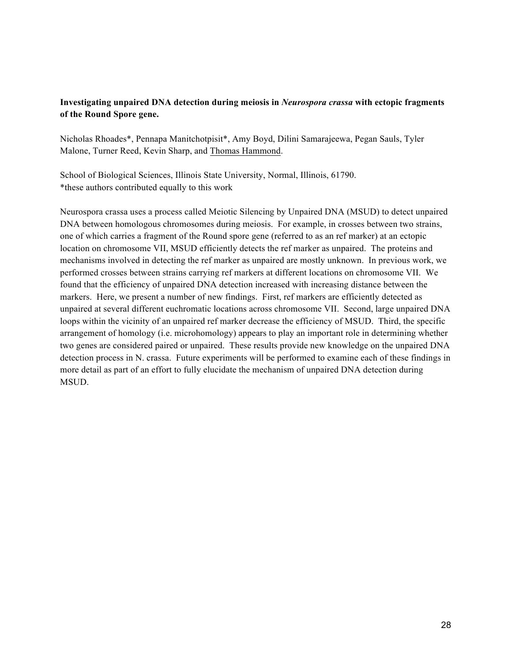#### **Investigating unpaired DNA detection during meiosis in** *Neurospora crassa* **with ectopic fragments of the Round Spore gene.**

Nicholas Rhoades\*, Pennapa Manitchotpisit\*, Amy Boyd, Dilini Samarajeewa, Pegan Sauls, Tyler Malone, Turner Reed, Kevin Sharp, and Thomas Hammond.

School of Biological Sciences, Illinois State University, Normal, Illinois, 61790. \*these authors contributed equally to this work

Neurospora crassa uses a process called Meiotic Silencing by Unpaired DNA (MSUD) to detect unpaired DNA between homologous chromosomes during meiosis. For example, in crosses between two strains, one of which carries a fragment of the Round spore gene (referred to as an ref marker) at an ectopic location on chromosome VII, MSUD efficiently detects the ref marker as unpaired. The proteins and mechanisms involved in detecting the ref marker as unpaired are mostly unknown. In previous work, we performed crosses between strains carrying ref markers at different locations on chromosome VII. We found that the efficiency of unpaired DNA detection increased with increasing distance between the markers. Here, we present a number of new findings. First, ref markers are efficiently detected as unpaired at several different euchromatic locations across chromosome VII. Second, large unpaired DNA loops within the vicinity of an unpaired ref marker decrease the efficiency of MSUD. Third, the specific arrangement of homology (i.e. microhomology) appears to play an important role in determining whether two genes are considered paired or unpaired. These results provide new knowledge on the unpaired DNA detection process in N. crassa. Future experiments will be performed to examine each of these findings in more detail as part of an effort to fully elucidate the mechanism of unpaired DNA detection during MSUD.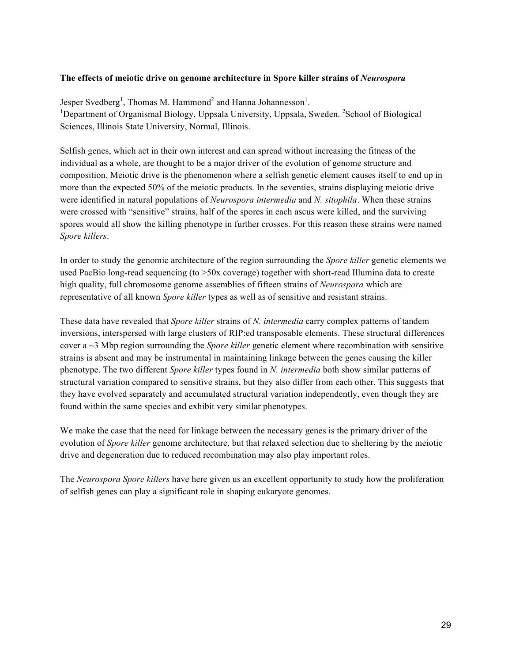#### **The effects of meiotic drive on genome architecture in Spore killer strains of** *Neurospora*

Jesper Svedberg<sup>1</sup>, Thomas M. Hammond<sup>2</sup> and Hanna Johannesson<sup>1</sup>.<br><sup>1</sup>Department of Organismal Biology, Unneale University, Unneale, S Department of Organismal Biology, Uppsala University, Uppsala, Sweden. <sup>2</sup>School of Biological Sciences, Illinois State University, Normal, Illinois.

Selfish genes, which act in their own interest and can spread without increasing the fitness of the individual as a whole, are thought to be a major driver of the evolution of genome structure and composition. Meiotic drive is the phenomenon where a selfish genetic element causes itself to end up in more than the expected 50% of the meiotic products. In the seventies, strains displaying meiotic drive were identified in natural populations of *Neurospora intermedia* and *N. sitophila*. When these strains were crossed with "sensitive" strains, half of the spores in each ascus were killed, and the surviving spores would all show the killing phenotype in further crosses. For this reason these strains were named *Spore killers*.

In order to study the genomic architecture of the region surrounding the *Spore killer* genetic elements we used PacBio long-read sequencing (to >50x coverage) together with short-read Illumina data to create high quality, full chromosome genome assemblies of fifteen strains of *Neurospora* which are representative of all known *Spore killer* types as well as of sensitive and resistant strains.

These data have revealed that *Spore killer* strains of *N. intermedia* carry complex patterns of tandem inversions, interspersed with large clusters of RIP:ed transposable elements. These structural differences cover a ~3 Mbp region surrounding the *Spore killer* genetic element where recombination with sensitive strains is absent and may be instrumental in maintaining linkage between the genes causing the killer phenotype. The two different *Spore killer* types found in *N. intermedia* both show similar patterns of structural variation compared to sensitive strains, but they also differ from each other. This suggests that they have evolved separately and accumulated structural variation independently, even though they are found within the same species and exhibit very similar phenotypes.

We make the case that the need for linkage between the necessary genes is the primary driver of the evolution of *Spore killer* genome architecture, but that relaxed selection due to sheltering by the meiotic drive and degeneration due to reduced recombination may also play important roles.

The *Neurospora Spore killers* have here given us an excellent opportunity to study how the proliferation of selfish genes can play a significant role in shaping eukaryote genomes.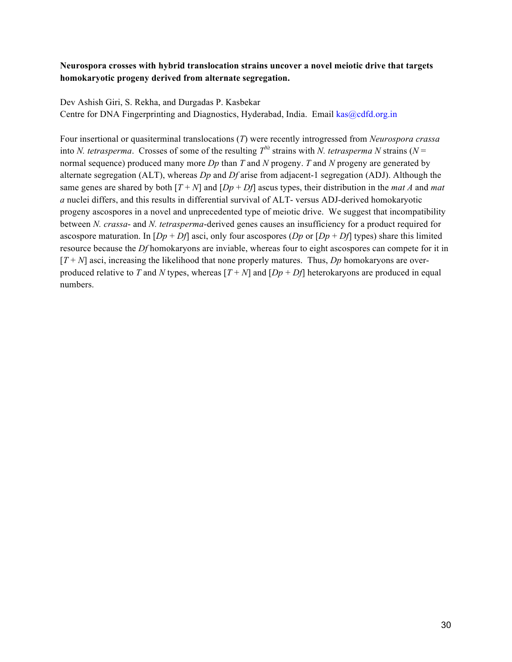#### **Neurospora crosses with hybrid translocation strains uncover a novel meiotic drive that targets homokaryotic progeny derived from alternate segregation.**

Dev Ashish Giri, S. Rekha, and Durgadas P. Kasbekar Centre for DNA Fingerprinting and Diagnostics, Hyderabad, India. Email kas@cdfd.org.in

Four insertional or quasiterminal translocations (*T*) were recently introgressed from *Neurospora crassa* into *N. tetrasperma*. Crosses of some of the resulting  $T^{Nt}$  strains with *N. tetrasperma N* strains ( $N =$ normal sequence) produced many more *Dp* than *T* and *N* progeny. *T* and *N* progeny are generated by alternate segregation (ALT), whereas *Dp* and *Df* arise from adjacent-1 segregation (ADJ). Although the same genes are shared by both  $[T + N]$  and  $[Dp + Df]$  ascus types, their distribution in the *mat A* and *mat a* nuclei differs, and this results in differential survival of ALT- versus ADJ-derived homokaryotic progeny ascospores in a novel and unprecedented type of meiotic drive. We suggest that incompatibility between *N. crassa*- and *N. tetrasperma*-derived genes causes an insufficiency for a product required for ascospore maturation. In  $[Db + Df]$  asci, only four ascospores  $(Dp \text{ or } [Dp + Df]$  types) share this limited resource because the *Df* homokaryons are inviable, whereas four to eight ascospores can compete for it in  $[T + N]$  asci, increasing the likelihood that none properly matures. Thus,  $Dp$  homokaryons are overproduced relative to *T* and *N* types, whereas  $[T + N]$  and  $[Dp + Df]$  heterokaryons are produced in equal numbers.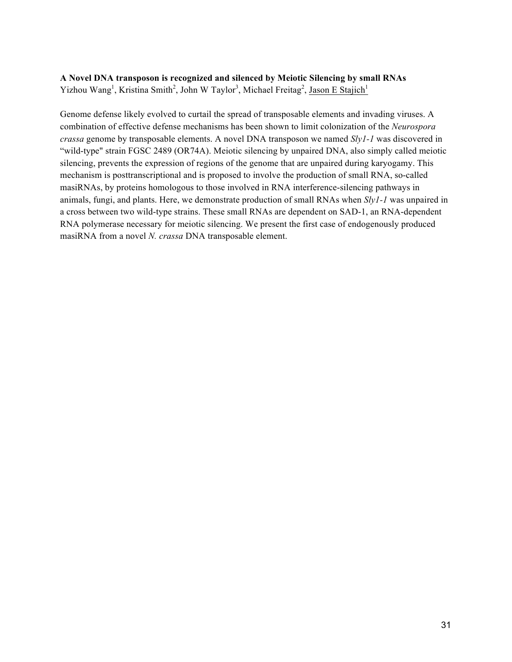#### **A Novel DNA transposon is recognized and silenced by Meiotic Silencing by small RNAs** Yizhou Wang<sup>1</sup>, Kristina Smith<sup>2</sup>, John W Taylor<sup>3</sup>, Michael Freitag<sup>2</sup>, Jason E Stajich<sup>1</sup>

Genome defense likely evolved to curtail the spread of transposable elements and invading viruses. A combination of effective defense mechanisms has been shown to limit colonization of the *Neurospora crassa* genome by transposable elements. A novel DNA transposon we named *Sly1-1* was discovered in "wild-type" strain FGSC 2489 (OR74A). Meiotic silencing by unpaired DNA, also simply called meiotic silencing, prevents the expression of regions of the genome that are unpaired during karyogamy. This mechanism is posttranscriptional and is proposed to involve the production of small RNA, so-called masiRNAs, by proteins homologous to those involved in RNA interference-silencing pathways in animals, fungi, and plants. Here, we demonstrate production of small RNAs when *Sly1-1* was unpaired in a cross between two wild-type strains. These small RNAs are dependent on SAD-1, an RNA-dependent RNA polymerase necessary for meiotic silencing. We present the first case of endogenously produced masiRNA from a novel *N. crassa* DNA transposable element.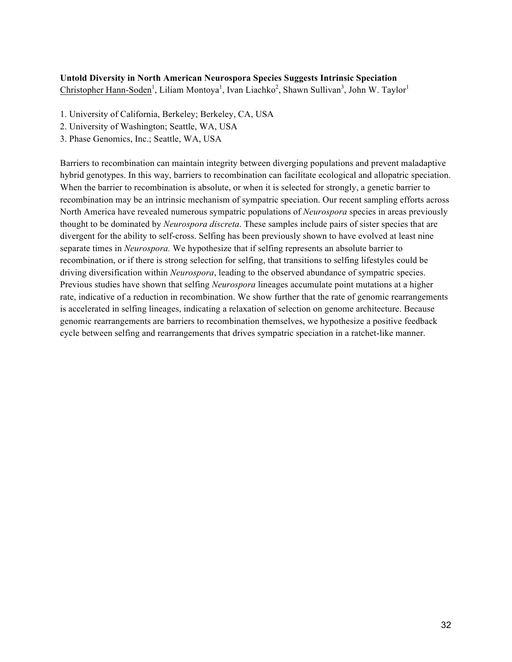#### **Untold Diversity in North American Neurospora Species Suggests Intrinsic Speciation**

Christopher Hann-Soden<sup>1</sup>, Liliam Montoya<sup>1</sup>, Ivan Liachko<sup>2</sup>, Shawn Sullivan<sup>3</sup>, John W. Taylor<sup>1</sup>

- 1. University of California, Berkeley; Berkeley, CA, USA
- 2. University of Washington; Seattle, WA, USA
- 3. Phase Genomics, Inc.; Seattle, WA, USA

Barriers to recombination can maintain integrity between diverging populations and prevent maladaptive hybrid genotypes. In this way, barriers to recombination can facilitate ecological and allopatric speciation. When the barrier to recombination is absolute, or when it is selected for strongly, a genetic barrier to recombination may be an intrinsic mechanism of sympatric speciation. Our recent sampling efforts across North America have revealed numerous sympatric populations of *Neurospora* species in areas previously thought to be dominated by *Neurospora discreta*. These samples include pairs of sister species that are divergent for the ability to self-cross. Selfing has been previously shown to have evolved at least nine separate times in *Neurospora.* We hypothesize that if selfing represents an absolute barrier to recombination, or if there is strong selection for selfing, that transitions to selfing lifestyles could be driving diversification within *Neurospora*, leading to the observed abundance of sympatric species. Previous studies have shown that selfing *Neurospora* lineages accumulate point mutations at a higher rate, indicative of a reduction in recombination. We show further that the rate of genomic rearrangements is accelerated in selfing lineages, indicating a relaxation of selection on genome architecture. Because genomic rearrangements are barriers to recombination themselves, we hypothesize a positive feedback cycle between selfing and rearrangements that drives sympatric speciation in a ratchet-like manner.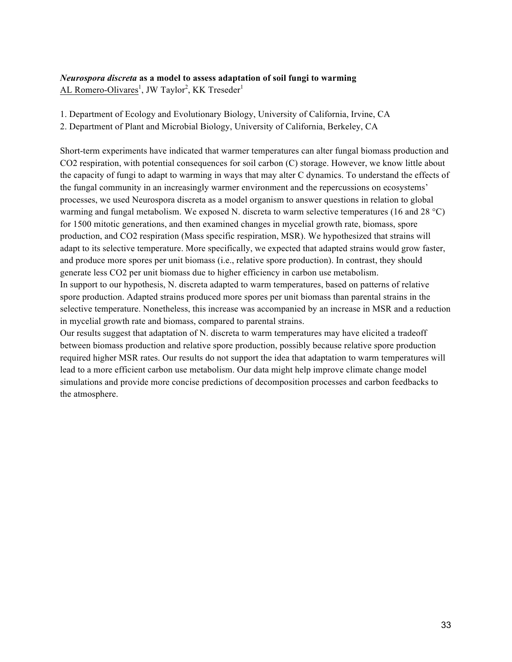#### *Neurospora discreta* **as a model to assess adaptation of soil fungi to warming**

AL Romero-Olivares<sup>1</sup>, JW Taylor<sup>2</sup>, KK Treseder<sup>1</sup>

1. Department of Ecology and Evolutionary Biology, University of California, Irvine, CA

2. Department of Plant and Microbial Biology, University of California, Berkeley, CA

Short-term experiments have indicated that warmer temperatures can alter fungal biomass production and CO2 respiration, with potential consequences for soil carbon (C) storage. However, we know little about the capacity of fungi to adapt to warming in ways that may alter C dynamics. To understand the effects of the fungal community in an increasingly warmer environment and the repercussions on ecosystems' processes, we used Neurospora discreta as a model organism to answer questions in relation to global warming and fungal metabolism. We exposed N. discreta to warm selective temperatures (16 and 28 °C) for 1500 mitotic generations, and then examined changes in mycelial growth rate, biomass, spore production, and CO2 respiration (Mass specific respiration, MSR). We hypothesized that strains will adapt to its selective temperature. More specifically, we expected that adapted strains would grow faster, and produce more spores per unit biomass (i.e., relative spore production). In contrast, they should generate less CO2 per unit biomass due to higher efficiency in carbon use metabolism.

In support to our hypothesis, N. discreta adapted to warm temperatures, based on patterns of relative spore production. Adapted strains produced more spores per unit biomass than parental strains in the selective temperature. Nonetheless, this increase was accompanied by an increase in MSR and a reduction in mycelial growth rate and biomass, compared to parental strains.

Our results suggest that adaptation of N. discreta to warm temperatures may have elicited a tradeoff between biomass production and relative spore production, possibly because relative spore production required higher MSR rates. Our results do not support the idea that adaptation to warm temperatures will lead to a more efficient carbon use metabolism. Our data might help improve climate change model simulations and provide more concise predictions of decomposition processes and carbon feedbacks to the atmosphere.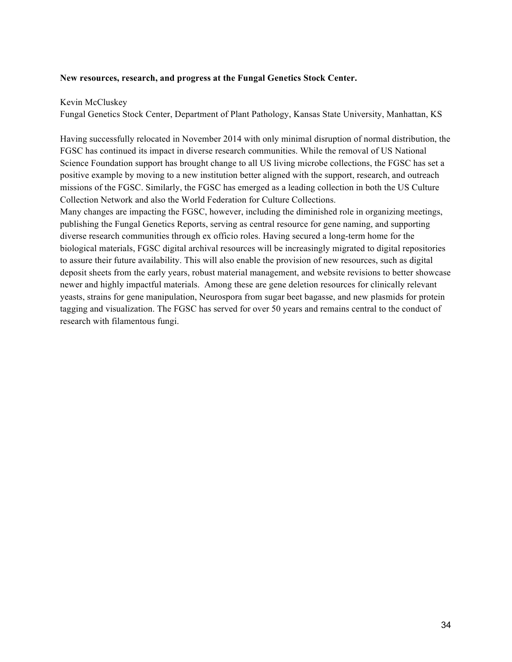#### **New resources, research, and progress at the Fungal Genetics Stock Center.**

#### Kevin McCluskey

Fungal Genetics Stock Center, Department of Plant Pathology, Kansas State University, Manhattan, KS

Having successfully relocated in November 2014 with only minimal disruption of normal distribution, the FGSC has continued its impact in diverse research communities. While the removal of US National Science Foundation support has brought change to all US living microbe collections, the FGSC has set a positive example by moving to a new institution better aligned with the support, research, and outreach missions of the FGSC. Similarly, the FGSC has emerged as a leading collection in both the US Culture Collection Network and also the World Federation for Culture Collections.

Many changes are impacting the FGSC, however, including the diminished role in organizing meetings, publishing the Fungal Genetics Reports, serving as central resource for gene naming, and supporting diverse research communities through ex officio roles. Having secured a long-term home for the biological materials, FGSC digital archival resources will be increasingly migrated to digital repositories to assure their future availability. This will also enable the provision of new resources, such as digital deposit sheets from the early years, robust material management, and website revisions to better showcase newer and highly impactful materials. Among these are gene deletion resources for clinically relevant yeasts, strains for gene manipulation, Neurospora from sugar beet bagasse, and new plasmids for protein tagging and visualization. The FGSC has served for over 50 years and remains central to the conduct of research with filamentous fungi.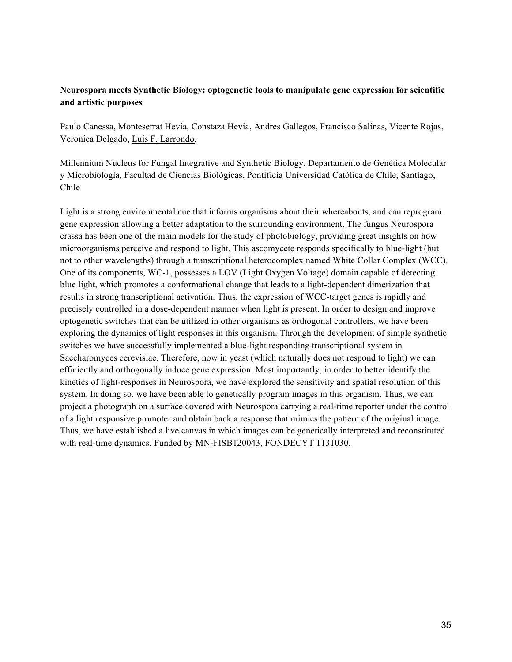#### **Neurospora meets Synthetic Biology: optogenetic tools to manipulate gene expression for scientific and artistic purposes**

Paulo Canessa, Monteserrat Hevia, Constaza Hevia, Andres Gallegos, Francisco Salinas, Vicente Rojas, Veronica Delgado, Luis F. Larrondo.

Millennium Nucleus for Fungal Integrative and Synthetic Biology, Departamento de Genética Molecular y Microbiología, Facultad de Ciencias Biológicas, Pontificia Universidad Católica de Chile, Santiago, Chile

Light is a strong environmental cue that informs organisms about their whereabouts, and can reprogram gene expression allowing a better adaptation to the surrounding environment. The fungus Neurospora crassa has been one of the main models for the study of photobiology, providing great insights on how microorganisms perceive and respond to light. This ascomycete responds specifically to blue-light (but not to other wavelengths) through a transcriptional heterocomplex named White Collar Complex (WCC). One of its components, WC-1, possesses a LOV (Light Oxygen Voltage) domain capable of detecting blue light, which promotes a conformational change that leads to a light-dependent dimerization that results in strong transcriptional activation. Thus, the expression of WCC-target genes is rapidly and precisely controlled in a dose-dependent manner when light is present. In order to design and improve optogenetic switches that can be utilized in other organisms as orthogonal controllers, we have been exploring the dynamics of light responses in this organism. Through the development of simple synthetic switches we have successfully implemented a blue-light responding transcriptional system in Saccharomyces cerevisiae. Therefore, now in yeast (which naturally does not respond to light) we can efficiently and orthogonally induce gene expression. Most importantly, in order to better identify the kinetics of light-responses in Neurospora, we have explored the sensitivity and spatial resolution of this system. In doing so, we have been able to genetically program images in this organism. Thus, we can project a photograph on a surface covered with Neurospora carrying a real-time reporter under the control of a light responsive promoter and obtain back a response that mimics the pattern of the original image. Thus, we have established a live canvas in which images can be genetically interpreted and reconstituted with real-time dynamics. Funded by MN-FISB120043, FONDECYT 1131030.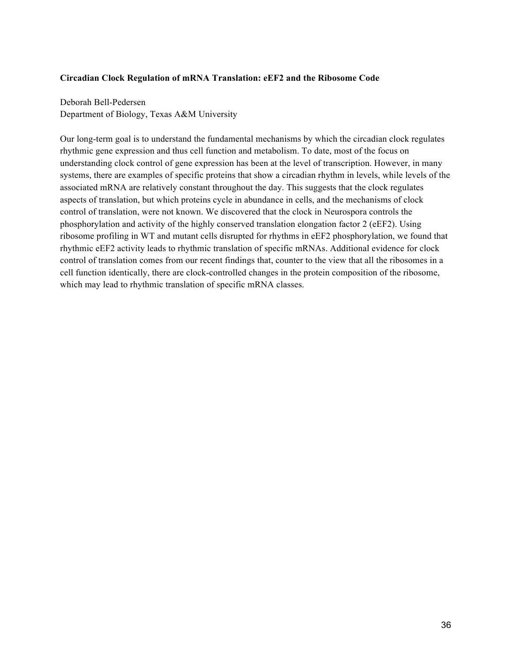#### **Circadian Clock Regulation of mRNA Translation: eEF2 and the Ribosome Code**

Deborah Bell-Pedersen Department of Biology, Texas A&M University

Our long-term goal is to understand the fundamental mechanisms by which the circadian clock regulates rhythmic gene expression and thus cell function and metabolism. To date, most of the focus on understanding clock control of gene expression has been at the level of transcription. However, in many systems, there are examples of specific proteins that show a circadian rhythm in levels, while levels of the associated mRNA are relatively constant throughout the day. This suggests that the clock regulates aspects of translation, but which proteins cycle in abundance in cells, and the mechanisms of clock control of translation, were not known. We discovered that the clock in Neurospora controls the phosphorylation and activity of the highly conserved translation elongation factor 2 (eEF2). Using ribosome profiling in WT and mutant cells disrupted for rhythms in eEF2 phosphorylation, we found that rhythmic eEF2 activity leads to rhythmic translation of specific mRNAs. Additional evidence for clock control of translation comes from our recent findings that, counter to the view that all the ribosomes in a cell function identically, there are clock-controlled changes in the protein composition of the ribosome, which may lead to rhythmic translation of specific mRNA classes.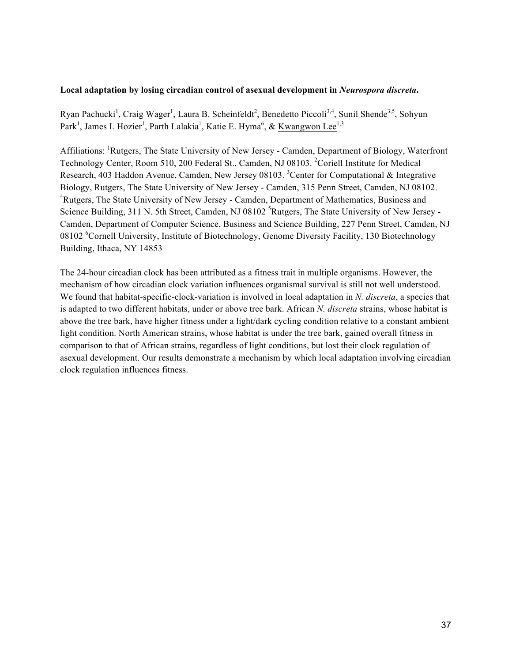#### **Local adaptation by losing circadian control of asexual development in** *Neurospora discreta***.**

Ryan Pachucki<sup>1</sup>, Craig Wager<sup>1</sup>, Laura B. Scheinfeldt<sup>2</sup>, Benedetto Piccoli<sup>3,4</sup>, Sunil Shende<sup>3,5</sup>, Sohyun Park<sup>1</sup>, James I. Hozier<sup>1</sup>, Parth Lalakia<sup>1</sup>, Katie E. Hyma<sup>6</sup>, & <u>Kwangwon Lee<sup>1,3</sup></u>

Affiliations: <sup>1</sup>Rutgers, The State University of New Jersey - Camden, Department of Biology, Waterfront Technology Center, Room 510, 200 Federal St., Camden, NJ 08103. <sup>2</sup>Coriell Institute for Medical Research, 403 Haddon Avenue, Camden, New Jersey 08103. <sup>3</sup>Center for Computational & Integrative Biology, Rutgers, The State University of New Jersey - Camden, 315 Penn Street, Camden, NJ 08102. <sup>4</sup>Rutgers, The State University of New Jersey - Camden, Department of Mathematics, Business and Science Building, 311 N. 5th Street, Camden, NJ 08102<sup>5</sup>Rutgers, The State University of New Jersey -Camden, Department of Computer Science, Business and Science Building, 227 Penn Street, Camden, NJ 08102 <sup>6</sup>Cornell University, Institute of Biotechnology, Genome Diversity Facility, 130 Biotechnology Building, Ithaca, NY 14853

The 24-hour circadian clock has been attributed as a fitness trait in multiple organisms. However, the mechanism of how circadian clock variation influences organismal survival is still not well understood. We found that habitat-specific-clock-variation is involved in local adaptation in *N. discreta*, a species that is adapted to two different habitats, under or above tree bark. African *N. discreta* strains, whose habitat is above the tree bark, have higher fitness under a light/dark cycling condition relative to a constant ambient light condition. North American strains, whose habitat is under the tree bark, gained overall fitness in comparison to that of African strains, regardless of light conditions, but lost their clock regulation of asexual development. Our results demonstrate a mechanism by which local adaptation involving circadian clock regulation influences fitness.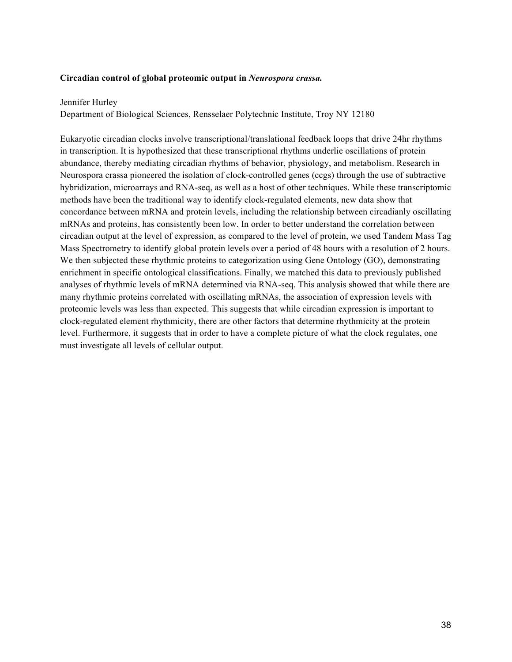#### **Circadian control of global proteomic output in** *Neurospora crassa.*

#### Jennifer Hurley

Department of Biological Sciences, Rensselaer Polytechnic Institute, Troy NY 12180

Eukaryotic circadian clocks involve transcriptional/translational feedback loops that drive 24hr rhythms in transcription. It is hypothesized that these transcriptional rhythms underlie oscillations of protein abundance, thereby mediating circadian rhythms of behavior, physiology, and metabolism. Research in Neurospora crassa pioneered the isolation of clock-controlled genes (ccgs) through the use of subtractive hybridization, microarrays and RNA-seq, as well as a host of other techniques. While these transcriptomic methods have been the traditional way to identify clock-regulated elements, new data show that concordance between mRNA and protein levels, including the relationship between circadianly oscillating mRNAs and proteins, has consistently been low. In order to better understand the correlation between circadian output at the level of expression, as compared to the level of protein, we used Tandem Mass Tag Mass Spectrometry to identify global protein levels over a period of 48 hours with a resolution of 2 hours. We then subjected these rhythmic proteins to categorization using Gene Ontology (GO), demonstrating enrichment in specific ontological classifications. Finally, we matched this data to previously published analyses of rhythmic levels of mRNA determined via RNA-seq. This analysis showed that while there are many rhythmic proteins correlated with oscillating mRNAs, the association of expression levels with proteomic levels was less than expected. This suggests that while circadian expression is important to clock-regulated element rhythmicity, there are other factors that determine rhythmicity at the protein level. Furthermore, it suggests that in order to have a complete picture of what the clock regulates, one must investigate all levels of cellular output.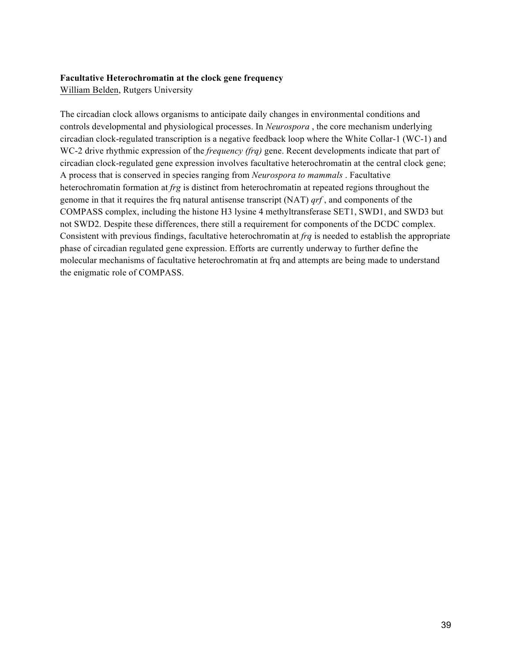#### **Facultative Heterochromatin at the clock gene frequency**

William Belden, Rutgers University

The circadian clock allows organisms to anticipate daily changes in environmental conditions and controls developmental and physiological processes. In *Neurospora* , the core mechanism underlying circadian clock-regulated transcription is a negative feedback loop where the White Collar-1 (WC-1) and WC-2 drive rhythmic expression of the *frequency (frq)* gene. Recent developments indicate that part of circadian clock-regulated gene expression involves facultative heterochromatin at the central clock gene; A process that is conserved in species ranging from *Neurospora to mammals* . Facultative heterochromatin formation at *frg* is distinct from heterochromatin at repeated regions throughout the genome in that it requires the frq natural antisense transcript (NAT) *qrf* , and components of the COMPASS complex, including the histone H3 lysine 4 methyltransferase SET1, SWD1, and SWD3 but not SWD2. Despite these differences, there still a requirement for components of the DCDC complex. Consistent with previous findings, facultative heterochromatin at *frq* is needed to establish the appropriate phase of circadian regulated gene expression. Efforts are currently underway to further define the molecular mechanisms of facultative heterochromatin at frq and attempts are being made to understand the enigmatic role of COMPASS.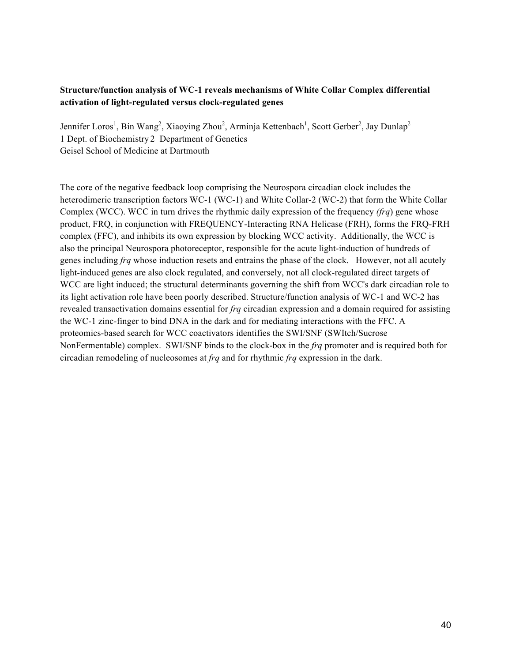#### **Structure/function analysis of WC-1 reveals mechanisms of White Collar Complex differential activation of light-regulated versus clock-regulated genes**

Jennifer Loros<sup>1</sup>, Bin Wang<sup>2</sup>, Xiaoying Zhou<sup>2</sup>, Arminja Kettenbach<sup>1</sup>, Scott Gerber<sup>2</sup>, Jay Dunlap<sup>2</sup> 1 Dept. of Biochemistry 2 Department of Genetics Geisel School of Medicine at Dartmouth

The core of the negative feedback loop comprising the Neurospora circadian clock includes the heterodimeric transcription factors WC-1 (WC-1) and White Collar-2 (WC-2) that form the White Collar Complex (WCC). WCC in turn drives the rhythmic daily expression of the frequency *(frq*) gene whose product, FRQ, in conjunction with FREQUENCY-Interacting RNA Helicase (FRH), forms the FRQ-FRH complex (FFC), and inhibits its own expression by blocking WCC activity. Additionally, the WCC is also the principal Neurospora photoreceptor, responsible for the acute light-induction of hundreds of genes including *frq* whose induction resets and entrains the phase of the clock. However, not all acutely light-induced genes are also clock regulated, and conversely, not all clock-regulated direct targets of WCC are light induced; the structural determinants governing the shift from WCC's dark circadian role to its light activation role have been poorly described. Structure/function analysis of WC-1 and WC-2 has revealed transactivation domains essential for *frq* circadian expression and a domain required for assisting the WC-1 zinc-finger to bind DNA in the dark and for mediating interactions with the FFC. A proteomics-based search for WCC coactivators identifies the SWI/SNF (SWItch/Sucrose NonFermentable) complex. SWI/SNF binds to the clock-box in the *frq* promoter and is required both for circadian remodeling of nucleosomes at *frq* and for rhythmic *frq* expression in the dark.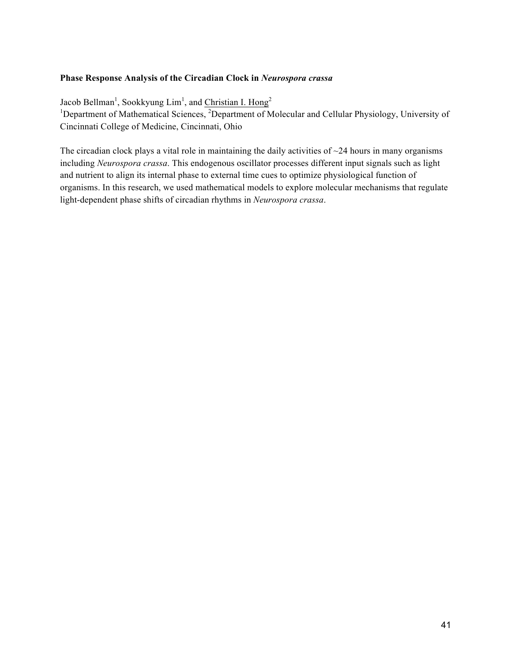#### **Phase Response Analysis of the Circadian Clock in** *Neurospora crassa*

Jacob Bellman<sup>1</sup>, Sookkyung Lim<sup>1</sup>, and Christian I. Hong<sup>2</sup> <sup>1</sup>Department of Mathematical Sciences, <sup>2</sup>Department of Molecular and Cellular Physiology, University of Cincinnati College of Medicine, Cincinnati, Ohio

The circadian clock plays a vital role in maintaining the daily activities of  $\sim$ 24 hours in many organisms including *Neurospora crassa*. This endogenous oscillator processes different input signals such as light and nutrient to align its internal phase to external time cues to optimize physiological function of organisms. In this research, we used mathematical models to explore molecular mechanisms that regulate light-dependent phase shifts of circadian rhythms in *Neurospora crassa*.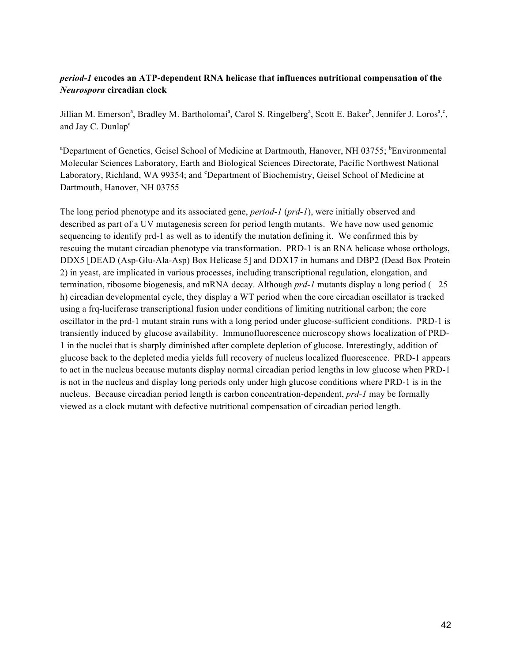#### *period-1* **encodes an ATP-dependent RNA helicase that influences nutritional compensation of the**  *Neurospora* **circadian clock**

Jillian M. Emerson<sup>a</sup>, Bradley M. Bartholomai<sup>a</sup>, Carol S. Ringelberg<sup>a</sup>, Scott E. Baker<sup>b</sup>, Jennifer J. Loros<sup>a</sup>,<sup>c</sup>, and Jay C. Dunlap<sup>a</sup>

<sup>a</sup>Department of Genetics, Geisel School of Medicine at Dartmouth, Hanover, NH 03755; <sup>b</sup>Environmental Molecular Sciences Laboratory, Earth and Biological Sciences Directorate, Pacific Northwest National Laboratory, Richland, WA 99354; and <sup>c</sup>Department of Biochemistry, Geisel School of Medicine at Dartmouth, Hanover, NH 03755

The long period phenotype and its associated gene, *period-1* (*prd-1*), were initially observed and described as part of a UV mutagenesis screen for period length mutants. We have now used genomic sequencing to identify prd-1 as well as to identify the mutation defining it. We confirmed this by rescuing the mutant circadian phenotype via transformation. PRD-1 is an RNA helicase whose orthologs, DDX5 [DEAD (Asp-Glu-Ala-Asp) Box Helicase 5] and DDX17 in humans and DBP2 (Dead Box Protein 2) in yeast, are implicated in various processes, including transcriptional regulation, elongation, and termination, ribosome biogenesis, and mRNA decay. Although *prd-1* mutants display a long period (25 h) circadian developmental cycle, they display a WT period when the core circadian oscillator is tracked using a frq-luciferase transcriptional fusion under conditions of limiting nutritional carbon; the core oscillator in the prd-1 mutant strain runs with a long period under glucose-sufficient conditions. PRD-1 is transiently induced by glucose availability. Immunofluorescence microscopy shows localization of PRD-1 in the nuclei that is sharply diminished after complete depletion of glucose. Interestingly, addition of glucose back to the depleted media yields full recovery of nucleus localized fluorescence. PRD-1 appears to act in the nucleus because mutants display normal circadian period lengths in low glucose when PRD-1 is not in the nucleus and display long periods only under high glucose conditions where PRD-1 is in the nucleus. Because circadian period length is carbon concentration-dependent, *prd-1* may be formally viewed as a clock mutant with defective nutritional compensation of circadian period length.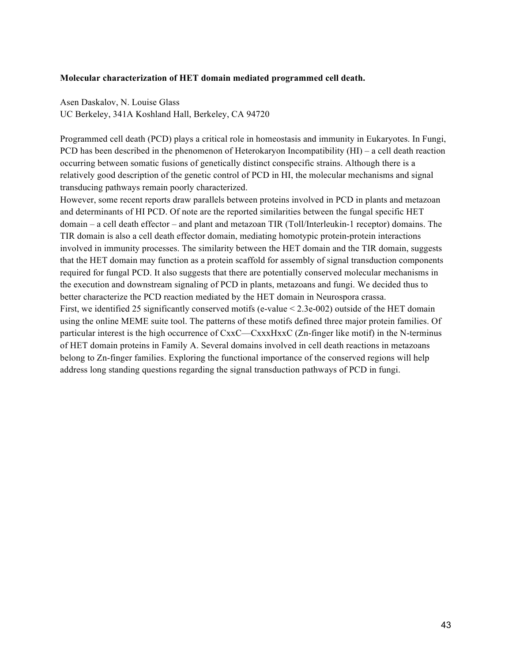#### **Molecular characterization of HET domain mediated programmed cell death.**

Asen Daskalov, N. Louise Glass UC Berkeley, 341A Koshland Hall, Berkeley, CA 94720

Programmed cell death (PCD) plays a critical role in homeostasis and immunity in Eukaryotes. In Fungi, PCD has been described in the phenomenon of Heterokaryon Incompatibility (HI) – a cell death reaction occurring between somatic fusions of genetically distinct conspecific strains. Although there is a relatively good description of the genetic control of PCD in HI, the molecular mechanisms and signal transducing pathways remain poorly characterized.

However, some recent reports draw parallels between proteins involved in PCD in plants and metazoan and determinants of HI PCD. Of note are the reported similarities between the fungal specific HET domain – a cell death effector – and plant and metazoan TIR (Toll/Interleukin-1 receptor) domains. The TIR domain is also a cell death effector domain, mediating homotypic protein-protein interactions involved in immunity processes. The similarity between the HET domain and the TIR domain, suggests that the HET domain may function as a protein scaffold for assembly of signal transduction components required for fungal PCD. It also suggests that there are potentially conserved molecular mechanisms in the execution and downstream signaling of PCD in plants, metazoans and fungi. We decided thus to better characterize the PCD reaction mediated by the HET domain in Neurospora crassa. First, we identified 25 significantly conserved motifs (e-value < 2.3e-002) outside of the HET domain using the online MEME suite tool. The patterns of these motifs defined three major protein families. Of particular interest is the high occurrence of CxxC—CxxxHxxC (Zn-finger like motif) in the N-terminus of HET domain proteins in Family A. Several domains involved in cell death reactions in metazoans belong to Zn-finger families. Exploring the functional importance of the conserved regions will help address long standing questions regarding the signal transduction pathways of PCD in fungi.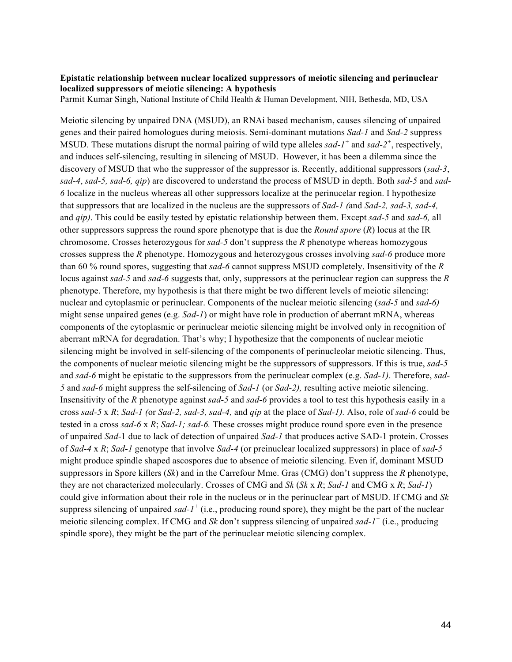#### **Epistatic relationship between nuclear localized suppressors of meiotic silencing and perinuclear localized suppressors of meiotic silencing: A hypothesis**

Parmit Kumar Singh, National Institute of Child Health & Human Development, NIH, Bethesda, MD, USA

Meiotic silencing by unpaired DNA (MSUD), an RNAi based mechanism, causes silencing of unpaired genes and their paired homologues during meiosis. Semi-dominant mutations *Sad-1* and *Sad-2* suppress MSUD. These mutations disrupt the normal pairing of wild type alleles *sad-1<sup>+</sup>* and *sad-2<sup>+</sup>* , respectively, and induces self-silencing, resulting in silencing of MSUD. However, it has been a dilemma since the discovery of MSUD that who the suppressor of the suppressor is. Recently, additional suppressors (*sad-3*, *sad-4*, *sad-5, sad-6, qip*) are discovered to understand the process of MSUD in depth. Both *sad-5* and *sad-6* localize in the nucleus whereas all other suppressors localize at the perinucelar region. I hypothesize that suppressors that are localized in the nucleus are the suppressors of *Sad-1 (*and *Sad-2, sad-3, sad-4,*  and *qip)*. This could be easily tested by epistatic relationship between them. Except *sad-5* and *sad-6,* all other suppressors suppress the round spore phenotype that is due the *Round spore* (*R*) locus at the IR chromosome. Crosses heterozygous for *sad-5* don't suppress the *R* phenotype whereas homozygous crosses suppress the *R* phenotype. Homozygous and heterozygous crosses involving *sad-6* produce more than 60 % round spores, suggesting that *sad-6* cannot suppress MSUD completely. Insensitivity of the *R* locus against *sad-5* and *sad-6* suggests that, only, suppressors at the perinuclear region can suppress the *R* phenotype. Therefore, my hypothesis is that there might be two different levels of meiotic silencing: nuclear and cytoplasmic or perinuclear. Components of the nuclear meiotic silencing (*sad-5* and *sad-6)* might sense unpaired genes (e.g. *Sad-1*) or might have role in production of aberrant mRNA, whereas components of the cytoplasmic or perinuclear meiotic silencing might be involved only in recognition of aberrant mRNA for degradation. That's why; I hypothesize that the components of nuclear meiotic silencing might be involved in self-silencing of the components of perinucleolar meiotic silencing. Thus, the components of nuclear meiotic silencing might be the suppressors of suppressors. If this is true, *sad-5*  and *sad-6* might be epistatic to the suppressors from the perinuclear complex (e.g. *Sad-1)*. Therefore, *sad-5* and *sad-6* might suppress the self-silencing of *Sad-1* (or *Sad-2),* resulting active meiotic silencing. Insensitivity of the *R* phenotype against *sad-5* and *sad-6* provides a tool to test this hypothesis easily in a cross *sad-5* x *R*; *Sad-1 (*or *Sad-2, sad-3, sad-4,* and *qip* at the place of *Sad-1).* Also, role of *sad-6* could be tested in a cross *sad-6* x *R*; *Sad-1; sad-6.* These crosses might produce round spore even in the presence of unpaired *Sad-*1 due to lack of detection of unpaired *Sad-1* that produces active SAD-1 protein. Crosses of *Sad-4* x *R*; *Sad-1* genotype that involve *Sad-4* (or preinuclear localized suppressors) in place of *sad-5* might produce spindle shaped ascospores due to absence of meiotic silencing. Even if, dominant MSUD suppressors in Spore killers (*Sk*) and in the Carrefour Mme. Gras (CMG) don't suppress the *R* phenotype, they are not characterized molecularly. Crosses of CMG and *Sk* (*Sk* x *R*; *Sad-1* and CMG x *R*; *Sad-1*) could give information about their role in the nucleus or in the perinuclear part of MSUD. If CMG and *Sk* suppress silencing of unpaired *sad-1<sup>+</sup>* (i.e., producing round spore), they might be the part of the nuclear meiotic silencing complex. If CMG and *Sk* don't suppress silencing of unpaired *sad-1<sup>+</sup>* (i.e., producing spindle spore), they might be the part of the perinuclear meiotic silencing complex.